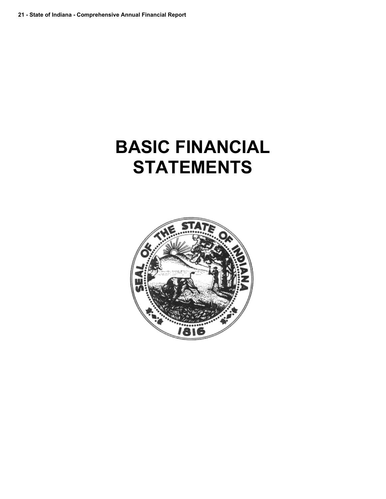# **BASIC FINANCIAL STATEMENTS**

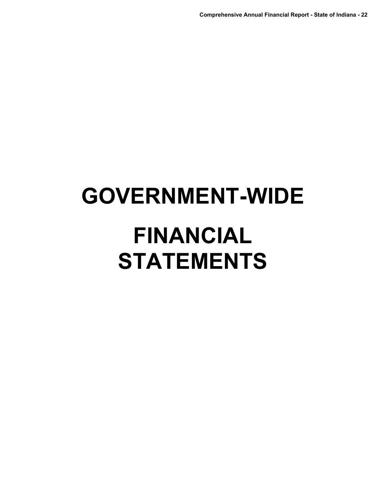# **GOVERNMENT-WIDE FINANCIAL STATEMENTS**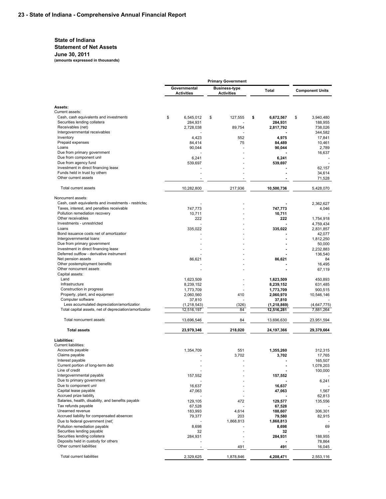#### **State of Indiana Statement of Net Assets June 30, 2011 (amounts expressed in thousands)**

|                                                        |                                   | <b>Primary Government</b>                 |                        |                        |
|--------------------------------------------------------|-----------------------------------|-------------------------------------------|------------------------|------------------------|
|                                                        | Governmental<br><b>Activities</b> | <b>Business-type</b><br><b>Activities</b> | <b>Total</b>           | <b>Component Units</b> |
| Assets:                                                |                                   |                                           |                        |                        |
| Current assets:                                        |                                   |                                           |                        |                        |
| Cash, cash equivalents and investments                 | \$<br>6,545,012                   | \$<br>127,555                             | \$<br>6,672,567        | 3,940,480<br>\$        |
| Securities lending collatera                           | 284,931                           |                                           | 284,931                | 188,955                |
| Receivables (net)                                      | 2,728,038                         | 89,754                                    | 2,817,792              | 738,026                |
| Intergovernmental receivables                          |                                   |                                           |                        | 344,582                |
| Inventory                                              | 4,423                             | 552                                       | 4,975                  | 17,841                 |
| Prepaid expenses                                       | 84,414                            | 75                                        | 84,489                 | 10,461                 |
| Loans                                                  | 90.044                            |                                           | 90,044                 | 2,789                  |
| Due from primary government                            |                                   |                                           |                        | 16,637                 |
| Due from component unit                                | 6,241                             |                                           | 6,241                  |                        |
| Due from agency fund                                   | 539,697                           |                                           | 539,697                |                        |
| Investment in direct financing lease                   |                                   |                                           |                        | 62,157                 |
| Funds held in trust by others                          |                                   |                                           |                        | 34,614                 |
| Other current assets                                   |                                   |                                           |                        | 71,528                 |
| Total current assets                                   | 10,282,800                        | 217,936                                   | 10,500,736             | 5,428,070              |
| Noncurrent assets:                                     |                                   |                                           |                        |                        |
| Cash, cash equivalents and investments - restricted    |                                   |                                           |                        | 2,362,627              |
| Taxes, interest, and penalties receivable              | 747,773                           |                                           | 747,773                | 4,046                  |
| Pollution remediation recovery                         | 10,711                            |                                           | 10,711                 |                        |
| Other receivables                                      | 222                               |                                           | 222                    | 1,754,918              |
| Investments - unrestricted                             |                                   |                                           |                        | 4,759,434              |
| Loans                                                  | 335,022                           |                                           | 335,022                | 2,831,857              |
| Bond issuance costs net of amortization                |                                   |                                           |                        | 42,077                 |
| Intergovernmental loans                                |                                   |                                           |                        | 1,812,250              |
| Due from primary government                            |                                   |                                           |                        | 50,000                 |
| Investment in direct financing lease                   |                                   |                                           |                        | 2,232,883              |
| Deferred outflow - derivative instrument               |                                   |                                           |                        | 136,540                |
| Net pension assets                                     | 86,621                            |                                           | 86,621                 | 84                     |
| Other postemployment benefits                          |                                   |                                           |                        | 16,495                 |
| Other noncurrent assets<br>Capital assets:             |                                   |                                           |                        | 67,119                 |
| Land                                                   |                                   |                                           |                        |                        |
| Infrastructure                                         | 1,623,509                         |                                           | 1,623,509              | 450,893                |
| Construction in progress                               | 8,239,152                         |                                           | 8,239,152              | 631,485                |
| Property, plant, and equipment                         | 1,773,709<br>2,060,560            | 410                                       | 1,773,709<br>2,060,970 | 900,515<br>10,546,146  |
| Computer software                                      | 37,810                            |                                           | 37,810                 |                        |
| Less accumulated depreciation/amortization             | (1, 218, 543)                     | (326)                                     | (1, 218, 869)          | (4,647,775)            |
| Total capital assets, net of depreciation/amortizatior | 12,516,197                        | 84                                        | 12,516,281             | 7,881,264              |
| Total noncurrent assets                                |                                   |                                           |                        |                        |
|                                                        | 13,696,546                        | 84                                        | 13,696,630             | 23,951,594             |
| <b>Total assets</b>                                    | 23,979,346                        | 218.020                                   | 24,197,366             | 29,379,664             |
| Liabilities:<br>Current liabilities:                   |                                   |                                           |                        |                        |
| Accounts payable                                       | 1,354,709                         | 551                                       | 1,355,260              | 312,315                |
| Claims payable                                         |                                   | 3,702                                     | 3,702                  | 17,765                 |
| Interest payable                                       |                                   |                                           |                        | 165,507                |
| Current portion of long-term deb!                      |                                   |                                           |                        | 1,078,203              |
| Line of credit                                         |                                   |                                           |                        | 100,000                |
| Intergovernmental payable                              | 157,552                           |                                           | 157,552                |                        |
| Due to primary government                              |                                   |                                           |                        | 6,241                  |
| Due to component unit                                  | 16,637                            |                                           | 16,637                 |                        |
| Capital lease payable                                  | 47,063                            |                                           | 47,063                 | 1,567                  |
| Accrued prize liability                                |                                   |                                           |                        | 62,813                 |
| Salaries, health, disability, and benefits payable     | 129,105                           | 472                                       | 129,577                | 135,556                |
| Tax refunds payable                                    | 67,528                            |                                           | 67,528                 |                        |
| Unearned revenue                                       | 183,993                           | 4,614                                     | 188,607                | 306,301                |
| Accrued liability for compensated absences             | 79,377                            | 203                                       | 79,580                 | 82,915                 |
| Due to federal government (net)                        |                                   | 1,868,813                                 | 1,868,813              |                        |
| Pollution remediation payable                          | 8,698                             |                                           | 8,698                  | 69                     |
| Securities lending payable                             | 32                                |                                           | 32                     |                        |
| Securities lending collatera                           | 284,931                           |                                           | 284,931                | 188,955                |
| Deposits held in custody for others                    |                                   |                                           |                        | 78,864                 |
| Other current liabilities                              |                                   | 491                                       | 491                    | 16,045                 |
| Total current liabilities                              | 2,329,625                         | 1,878,846                                 | 4,208,471              | 2,553,116              |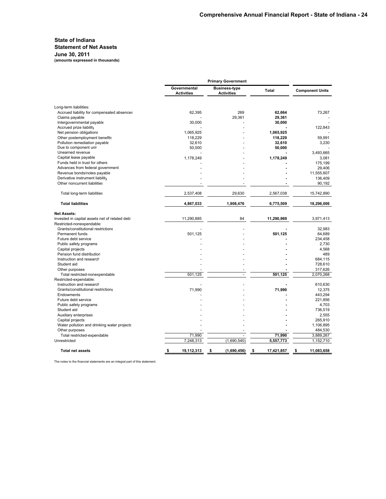#### **State of Indiana Statement of Net Assets June 30, 2011 (amounts expressed in thousands)**

|                                                              |                                   | <b>Primary Government</b>                 |                  |                        |
|--------------------------------------------------------------|-----------------------------------|-------------------------------------------|------------------|------------------------|
|                                                              | Governmental<br><b>Activities</b> | <b>Business-type</b><br><b>Activities</b> | <b>Total</b>     | <b>Component Units</b> |
|                                                              |                                   |                                           |                  |                        |
| Long-term liabilities:                                       |                                   |                                           |                  |                        |
| Accrued liability for compensated absences                   | 62,395                            | 269                                       | 62,664           | 73,267                 |
| Claims payable                                               |                                   | 29,361                                    | 29,361           |                        |
| Intergovernmental payable                                    | 30,000                            |                                           | 30,000           |                        |
| Accrued prize liability                                      |                                   |                                           |                  | 122,843                |
| Net pension obligations                                      | 1,065,925                         |                                           | 1,065,925        |                        |
| Other postemployment benefits                                | 118,229                           |                                           | 118,229          | 59,991                 |
| Pollution remediation payable                                | 32,610                            |                                           | 32,610           | 3,230                  |
| Due to component unit                                        | 50,000                            |                                           | 50,000           |                        |
| Unearned revenue                                             |                                   |                                           |                  | 3,493,665              |
| Capital lease payable                                        | 1,178,249                         |                                           | 1,178,249        | 3,081                  |
| Funds held in trust for others                               |                                   |                                           |                  | 175,199                |
| Advances from federal government                             |                                   |                                           |                  | 29,406                 |
| Revenue bonds/notes payable                                  |                                   |                                           |                  | 11,555,607             |
| Derivative instrument liability                              |                                   |                                           |                  | 136,409                |
| Other noncurrent liabilities                                 |                                   |                                           |                  | 90,192                 |
| Total long-term liabilities                                  | 2,537,408                         | 29,630                                    | 2,567,038        | 15,742,890             |
| <b>Total liabilities</b>                                     | 4,867,033                         | 1,908,476                                 | 6,775,509        | 18,296,006             |
|                                                              |                                   |                                           |                  |                        |
| <b>Net Assets:</b>                                           |                                   |                                           |                  |                        |
| Invested in capital assets net of related debt               | 11,290,885                        | 84                                        | 11,290,969       | 3,971,413              |
| Restricted-nonexpendable:                                    |                                   |                                           |                  |                        |
| Grants/constitutional restrictions<br><b>Permanent funds</b> |                                   |                                           |                  | 32,983                 |
|                                                              | 501,125                           |                                           | 501,125          | 64,689                 |
| Future debt service                                          |                                   |                                           |                  | 234,458                |
| Public safety programs                                       |                                   |                                           |                  | 2,730                  |
| Capital projects                                             |                                   |                                           |                  | 4,568                  |
| Pension fund distribution                                    |                                   |                                           |                  | 489                    |
| Instruction and research                                     |                                   |                                           |                  | 684,115                |
| Student aid                                                  |                                   |                                           |                  | 728,610                |
| Other purposes                                               |                                   |                                           |                  | 317,626                |
| Total restricted-nonexpendable                               | 501,125                           |                                           | 501,125          | 2,070,268              |
| Restricted-expendable:                                       |                                   |                                           |                  |                        |
| Instruction and research                                     |                                   |                                           |                  | 610,630                |
| Grants/constitutional restrictions                           | 71,990                            |                                           | 71,990           | 12,375                 |
| Endowments                                                   |                                   |                                           |                  | 443,294                |
| Future debt service                                          |                                   |                                           |                  | 221.856                |
| Public safety programs                                       |                                   |                                           |                  | 4,703                  |
| Student aid                                                  |                                   |                                           |                  | 736,519                |
| Auxiliary enterprises                                        |                                   |                                           |                  | 2,555                  |
| Capital projects                                             |                                   |                                           |                  | 265,910                |
| Water pollution and drinking water projects                  |                                   |                                           |                  | 1,106,895              |
| Other purposes                                               |                                   |                                           |                  | 484,530                |
| Total restricted-expendable                                  | 71,990                            |                                           | 71.990           | 3,889,267              |
| Unrestricted                                                 | 7,248,313                         | (1,690,540)                               | 5,557,773        | 1,152,710              |
| <b>Total net assets</b>                                      | \$<br>19,112,313                  | (1,690,456)<br>\$                         | 17,421,857<br>\$ | 11,083,658<br>\$       |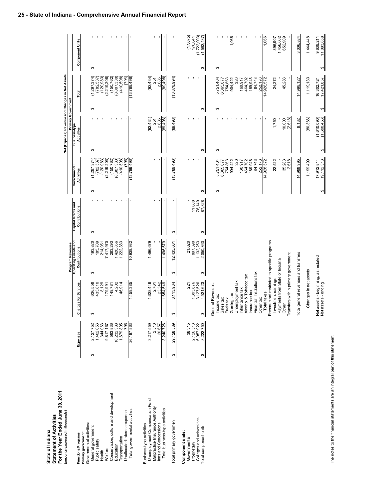| State of Indiana                        |                       |
|-----------------------------------------|-----------------------|
| <b>itatement of Activities</b>          |                       |
| or the Year Ended June 30, 2011         |                       |
| $\frac{3}{2}$<br>iounts expressed in th | i<br>ì<br>i<br>í<br>ï |
|                                         |                       |

| Functions/Programs | Primary government: | Governmental activities: | General government | Public safety | Health | Welfare | Conservation, culture and development | Education | Transportation | Unallocated interest expense | Total governmental activities |  |
|--------------------|---------------------|--------------------------|--------------------|---------------|--------|---------|---------------------------------------|-----------|----------------|------------------------------|-------------------------------|--|
|                    |                     |                          |                    |               |        |         |                                       |           |                |                              |                               |  |

| Business-type activities | Unemployment Compensation Fund | Malpractice Insurance Authority | Inns and Concessions | Total business-type activities |  |
|--------------------------|--------------------------------|---------------------------------|----------------------|--------------------------------|--|
|                          |                                |                                 |                      |                                |  |

Component units:<br>Governmental<br>Proprietary<br>Colleges and universities<br>Total component units **Component units:**

|                                                        |                             |                                                            | Program Revenues                             |                                     |                                                   | Primary Government                         |                                      |                                     |
|--------------------------------------------------------|-----------------------------|------------------------------------------------------------|----------------------------------------------|-------------------------------------|---------------------------------------------------|--------------------------------------------|--------------------------------------|-------------------------------------|
| -unctions/Programs                                     | Expenses                    | <b>Charges for Services</b>                                | <b>Operating Grants and</b><br>Contributions | Capital Grants and<br>Contributions | Governmental<br>Activities                        | Business-type<br>Activities                | Total                                | Component Units                     |
| Governmental activities:<br>Primary government:        |                             |                                                            |                                              |                                     |                                                   |                                            |                                      |                                     |
| General government                                     | 2,127,752<br>↔              | 636,558                                                    | 193,820<br>↮                                 | ↮                                   | (1, 297, 374)<br>↮                                | ↮                                          | $(1, 297, 374)$<br>$(782, 537)$<br>↔ | ↮                                   |
| Public safety<br>Health                                | 1,402,056<br>344,063        | 433,810<br>8,129                                           | 185,709<br>214,951                           |                                     | (120, 983)<br>(782, 537)                          |                                            | (120, 983)                           |                                     |
| Welfare                                                | 9,817,167                   | 179,991                                                    | 7,417,970                                    |                                     | (2,219,206)                                       |                                            | (2,219,206)                          |                                     |
| Conservation, culture and development                  | 583,836                     | 149,781                                                    | 283,293                                      |                                     | (150, 762)                                        |                                            | (150, 762)                           |                                     |
| Education                                              | 10,232,388                  | 4,202                                                      | ,420,856                                     |                                     | (8,807,330)                                       |                                            | $(8,807,330)$<br>$(410,508)$         |                                     |
| Transportation                                         | 1,679,805                   | 46,914                                                     | ,222,383                                     |                                     | (410,508)                                         |                                            |                                      |                                     |
| Unallocated interest expense                           | 796                         |                                                            |                                              |                                     | (796)                                             |                                            | (796)                                |                                     |
| Total governmental activities                          | 26,187,863                  | ,459,385                                                   | 10,938,982                                   |                                     | (13, 789, 496)                                    |                                            | (13,789,496)                         |                                     |
| Business-type activities                               |                             |                                                            |                                              |                                     |                                                   |                                            |                                      |                                     |
| Unemployment Compensation Fund                         | 3,217,559                   | 1,628,446                                                  | 1,496,679                                    |                                     |                                                   | (92, 434)                                  | (92, 434)                            |                                     |
| Malpractice Insurance Authority                        | 2,510                       | 2,761                                                      |                                              |                                     |                                                   | <b>251</b>                                 | 251                                  |                                     |
| Total business-type activities<br>Inns and Concessions | 3,240,726<br>20,657         | 23,342<br>1,654,549                                        | 1,496,679                                    |                                     |                                                   | (89, 498)<br>2,685                         | (89, 498)<br>2,685                   |                                     |
|                                                        |                             |                                                            |                                              |                                     |                                                   |                                            |                                      |                                     |
| otal primary government                                | 29,428,589<br>↮             | 3,113,934                                                  | 12,435,661<br>↮                              | မာ                                  | (13.789, 496)                                     | (89, 498)                                  | (13.878.994)                         |                                     |
| Component units:<br>Governmental                       | 38,315                      | 221                                                        | 21,020                                       |                                     |                                                   |                                            |                                      | (17, 075)                           |
| Proprietary                                            | 2,126,513                   | 1,393,876                                                  | 897,590                                      | 11,688<br>76,140                    |                                                   |                                            |                                      | 176,641                             |
| Colleges and universities<br>Total component units     | 6,057,922<br>8,222,750<br>↮ | 3,127,526<br>4,521,623                                     | 1,132,253<br>2,050,863                       | 87,828                              | ↮                                                 | ↮                                          | ↮                                    | (1,722,003)<br>(1,562,437)<br>↮     |
|                                                        |                             |                                                            |                                              |                                     |                                                   |                                            |                                      |                                     |
|                                                        |                             | General Revenues:<br>Income tax                            |                                              |                                     | 5,751,404<br>↮                                    | ↮                                          | 5,751,404<br>↮                       | ↮                                   |
|                                                        |                             | Sales tax                                                  |                                              |                                     | 6,365,077                                         |                                            | 6,365,077                            |                                     |
|                                                        |                             | Fuels tax                                                  |                                              |                                     | 754,863                                           |                                            | 754,863                              |                                     |
|                                                        |                             | Gaming tax                                                 |                                              |                                     | 904,422                                           |                                            | 904,422                              | 1,066                               |
|                                                        |                             | Unemployment tax<br>Inheritance tax                        |                                              |                                     | 320<br>160,917                                    |                                            | 320<br>160,917                       |                                     |
|                                                        |                             | Alcohol & Tobacco tax                                      |                                              |                                     | 464,702                                           |                                            | 464,702                              |                                     |
|                                                        |                             | Insurance tax                                              |                                              |                                     | 189,948                                           |                                            | 189,948                              |                                     |
|                                                        |                             | Financial Institutions tax                                 |                                              |                                     | 84,743                                            |                                            | 84,743                               |                                     |
|                                                        |                             | Other tax                                                  |                                              |                                     | 252,176                                           |                                            | 252,176                              |                                     |
|                                                        |                             | Total taxes                                                | tevenue not restricted to specific programs  |                                     | 14,928,572                                        |                                            | 14,928,572                           | 1,066                               |
|                                                        |                             | Investment earnings                                        |                                              |                                     | 22,522                                            | 1,750                                      | 24,272                               | 896,907                             |
|                                                        |                             | Payments from State of Indiana                             |                                              |                                     |                                                   |                                            |                                      | 1,456,002                           |
|                                                        |                             | Other                                                      |                                              |                                     | 35,283                                            | 10,000                                     | 45,283                               | 652,909                             |
|                                                        |                             | ransfers within primary government                         |                                              |                                     | 2,618                                             | (2, 618)                                   |                                      |                                     |
|                                                        |                             | otal general revenues and transfers                        |                                              |                                     | 14,988,995                                        | 9,132                                      | 14,998,127                           | 3,006,884                           |
|                                                        |                             | Changes in net assets                                      |                                              |                                     | 1,199,499                                         | (80, 366)                                  | 1,119,133                            | 1,444,448                           |
|                                                        |                             | let assets - beginning, as restated<br>Net assets - ending |                                              |                                     | 17,912,814<br>19,112,313<br>$\boldsymbol{\omega}$ | $(1,610,090)$<br>$(1,690,456)$<br>$\Theta$ | 16,302,724<br>17,421,857<br>$\Theta$ | 9,639,211<br>11,083,658<br>$\Theta$ |
|                                                        |                             |                                                            |                                              |                                     |                                                   |                                            |                                      |                                     |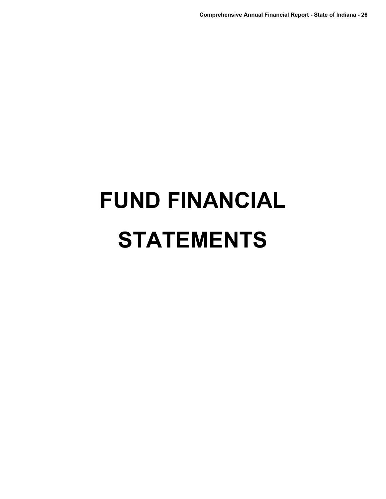# **FUND FINANCIAL STATEMENTS**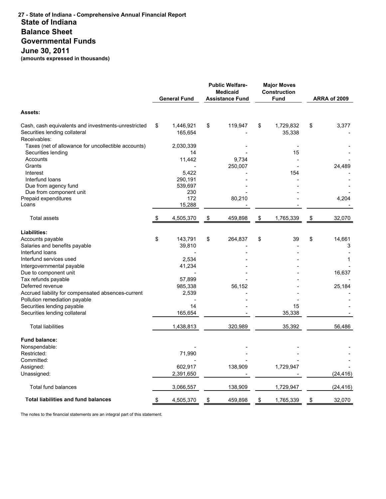#### **State of Indiana Balance Sheet Governmental Funds 27 - State of Indiana - Comprehensive Annual Financial Report**

**June 30, 2011**

**(amounts expressed in thousands)**

|                                                                                                      | <b>General Fund</b> |                             | <b>Public Welfare-</b><br><b>Medicaid</b><br><b>Assistance Fund</b> | <b>Major Moves</b><br><b>Construction</b><br><b>Fund</b> | ARRA of 2009 |             |
|------------------------------------------------------------------------------------------------------|---------------------|-----------------------------|---------------------------------------------------------------------|----------------------------------------------------------|--------------|-------------|
| Assets:                                                                                              |                     |                             |                                                                     |                                                          |              |             |
| Cash, cash equivalents and investments-unrestricted<br>Securities lending collateral<br>Receivables: | \$                  | 1,446,921<br>165,654        | \$<br>119,947                                                       | \$<br>1,729,832<br>35,338                                | \$           | 3,377       |
| Taxes (net of allowance for uncollectible accounts)<br>Securities lending                            |                     | 2,030,339<br>14             |                                                                     | 15                                                       |              |             |
| Accounts<br>Grants                                                                                   |                     | 11,442                      | 9,734<br>250,007                                                    |                                                          |              | 24,489      |
| Interest<br>Interfund loans<br>Due from agency fund                                                  |                     | 5,422<br>290,191<br>539,697 |                                                                     | 154                                                      |              |             |
| Due from component unit<br>Prepaid expenditures<br>Loans                                             |                     | 230<br>172<br>15,288        | 80,210                                                              |                                                          |              | 4,204       |
| <b>Total assets</b>                                                                                  | \$                  | 4,505,370                   | \$<br>459,898                                                       | \$<br>1,765,339                                          | \$           | 32,070      |
| Liabilities:                                                                                         |                     |                             |                                                                     |                                                          |              |             |
| Accounts payable<br>Salaries and benefits payable<br>Interfund loans                                 | \$                  | 143,791<br>39,810           | \$<br>264,837                                                       | \$<br>39                                                 | \$           | 14,661<br>3 |
| Interfund services used<br>Intergovernmental payable                                                 |                     | 2,534<br>41,234             |                                                                     |                                                          |              | 1           |
| Due to component unit<br>Tax refunds payable                                                         |                     | 57,899                      |                                                                     |                                                          |              | 16,637      |
| Deferred revenue<br>Accrued liability for compensated absences-current                               |                     | 985,338<br>2,539            | 56,152                                                              |                                                          |              | 25,184      |
| Pollution remediation payable<br>Securities lending payable                                          |                     | 14                          |                                                                     | 15                                                       |              |             |
| Securities lending collateral                                                                        |                     | 165,654                     |                                                                     | 35,338                                                   |              |             |
| <b>Total liabilities</b>                                                                             |                     | 1,438,813                   | 320,989                                                             | 35,392                                                   |              | 56,486      |
| Fund balance:<br>Nonspendable:                                                                       |                     |                             |                                                                     |                                                          |              |             |
| Restricted:<br>Committed:                                                                            |                     | 71,990                      |                                                                     |                                                          |              |             |
| Assigned:<br>Unassigned:                                                                             |                     | 602,917<br>2,391,650        | 138,909                                                             | 1,729,947                                                |              | (24, 416)   |
| <b>Total fund balances</b>                                                                           |                     | 3,066,557                   | 138,909                                                             | 1,729,947                                                |              | (24, 416)   |
| <b>Total liabilities and fund balances</b>                                                           | \$                  | 4,505,370                   | \$<br>459,898                                                       | \$<br>1,765,339                                          | \$           | 32,070      |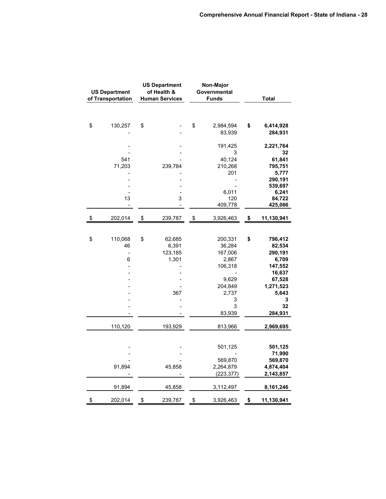| <b>US Department</b><br>of Health &<br><b>US Department</b> |                   |    | Non-Major<br>Governmental |                 |                  |
|-------------------------------------------------------------|-------------------|----|---------------------------|-----------------|------------------|
|                                                             | of Transportation |    | <b>Human Services</b>     | <b>Funds</b>    | <b>Total</b>     |
|                                                             |                   |    |                           |                 |                  |
| \$                                                          | 130,257           | \$ |                           | \$<br>2,984,594 | \$<br>6,414,928  |
|                                                             |                   |    |                           | 83,939          | 284,931          |
|                                                             |                   |    |                           | 191,425         | 2,221,764        |
|                                                             |                   |    |                           | 3               | 32               |
|                                                             | 541               |    |                           | 40,124          | 61,841           |
|                                                             | 71,203            |    | 239,784                   | 210,268         | 795,751          |
|                                                             |                   |    |                           | 201             | 5,777            |
|                                                             |                   |    |                           |                 | 290,191          |
|                                                             |                   |    |                           |                 | 539,697          |
|                                                             |                   |    |                           | 6,011           | 6,241            |
|                                                             | 13                |    | 3                         | 120             | 84,722           |
|                                                             |                   |    |                           | 409,778         | 425,066          |
| \$                                                          | 202,014           | \$ | 239,787                   | \$<br>3,926,463 | \$<br>11,130,941 |
|                                                             |                   |    |                           |                 |                  |
| \$                                                          | 110,068           | \$ | 62,685                    | 200,331         | \$<br>796,412    |
|                                                             | 46                |    | 6,391                     | 36,284          | 82,534           |
|                                                             |                   |    | 123,185                   | 167,006         | 290,191          |
|                                                             | 6                 |    | 1,301                     | 2,867           | 6,709            |
|                                                             |                   |    |                           | 106,318         | 147,552          |
|                                                             |                   |    |                           |                 | 16,637           |
|                                                             |                   |    |                           | 9,629           | 67,528           |
|                                                             |                   |    |                           | 204,849         | 1,271,523        |
|                                                             |                   |    | 367                       | 2,737           | 5,643            |
|                                                             |                   |    |                           | 3               | 3                |
|                                                             |                   |    |                           | 3               | 32               |
|                                                             |                   |    |                           | 83,939          | 284,931          |
|                                                             | 110,120           |    | 193,929                   | 813,966         | 2,969,695        |
|                                                             |                   |    |                           |                 |                  |
|                                                             |                   |    |                           | 501,125         | 501,125          |
|                                                             |                   |    |                           |                 | 71,990           |
|                                                             |                   |    |                           | 569,870         | 569,870          |
|                                                             | 91,894            |    | 45,858                    | 2,264,879       | 4,874,404        |
|                                                             |                   |    |                           | (223, 377)      | 2,143,857        |
|                                                             | 91,894            |    | 45,858                    | 3,112,497       | 8,161,246        |
| \$                                                          | 202,014           | \$ | 239,787                   | \$<br>3,926,463 | \$<br>11,130,941 |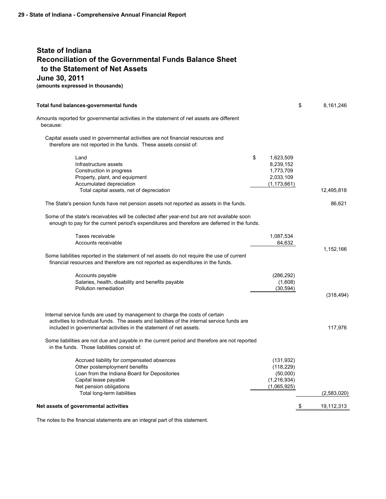#### **State of Indiana Reconciliation of the Governmental Funds Balance Sheet to the Statement of Net Assets June 30, 2011**

**(amounts expressed in thousands)**

| Total fund balances-governmental funds                                                                                                                                                                                                              |                                                                         | \$            | 8,161,246   |
|-----------------------------------------------------------------------------------------------------------------------------------------------------------------------------------------------------------------------------------------------------|-------------------------------------------------------------------------|---------------|-------------|
| Amounts reported for governmental activities in the statement of net assets are different<br>because:                                                                                                                                               |                                                                         |               |             |
| Capital assets used in governmental activities are not financial resources and<br>therefore are not reported in the funds. These assets consist of:                                                                                                 |                                                                         |               |             |
| Land<br>Infrastructure assets<br>Construction in progress<br>Property, plant, and equipment<br>Accumulated depreciation<br>Total capital assets, net of depreciation                                                                                | \$<br>1,623,509<br>8,239,152<br>1,773,709<br>2,033,109<br>(1, 173, 661) |               | 12,495,818  |
| The State's pension funds have net pension assets not reported as assets in the funds.                                                                                                                                                              |                                                                         |               | 86,621      |
| Some of the state's receivables will be collected after year-end but are not available soon<br>enough to pay for the current period's expenditures and therefore are deferred in the funds.                                                         |                                                                         |               |             |
| Taxes receivable<br>Accounts receivable<br>Some liabilities reported in the statement of net assets do not require the use of current                                                                                                               | 1,087,534<br>64,632                                                     |               | 1,152,166   |
| financial resources and therefore are not reported as expenditures in the funds.                                                                                                                                                                    |                                                                         |               |             |
| Accounts payable<br>Salaries, health, disability and benefits payable<br>Pollution remediation                                                                                                                                                      | (286, 292)<br>(1,608)<br>(30, 594)                                      |               | (318, 494)  |
| Internal service funds are used by management to charge the costs of certain<br>activities to individual funds. The assets and liabilities of the internal service funds are<br>included in governmental activities in the statement of net assets. |                                                                         |               | 117,976     |
| Some liabilities are not due and payable in the current period and therefore are not reported<br>in the funds. Those liabilities consist of:                                                                                                        |                                                                         |               |             |
| Accrued liability for compensated absences<br>Other postemployment benefits<br>Loan from the Indiana Board for Depositories<br>Capital lease payable<br>Net pension obligations<br>Total long-term liabilities                                      | (131, 932)<br>(118, 229)<br>(50,000)<br>(1,216,934)<br>(1,065,925)      |               | (2,583,020) |
| Net assets of governmental activities                                                                                                                                                                                                               |                                                                         | $\rightarrow$ | 19,112,313  |
|                                                                                                                                                                                                                                                     |                                                                         |               |             |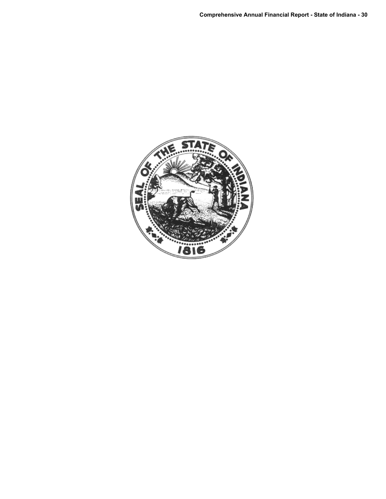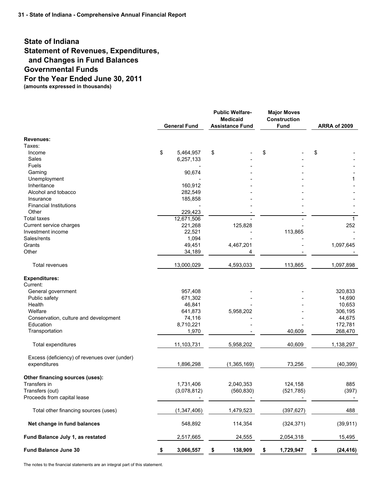#### **State of Indiana Statement of Revenues, Expenditures, and Changes in Fund Balances Governmental Funds For the Year Ended June 30, 2011**

**(amounts expressed in thousands)**

|                                              | <b>General Fund</b> | <b>Public Welfare-</b><br><b>Medicaid</b><br><b>Assistance Fund</b> | <b>Major Moves</b><br>Construction<br><b>Fund</b> | ARRA of 2009 |
|----------------------------------------------|---------------------|---------------------------------------------------------------------|---------------------------------------------------|--------------|
| Revenues:                                    |                     |                                                                     |                                                   |              |
| Taxes:                                       |                     |                                                                     |                                                   |              |
| Income                                       | \$<br>5,464,957     | \$                                                                  | \$                                                | \$           |
| Sales                                        | 6,257,133           |                                                                     |                                                   |              |
| Fuels                                        |                     |                                                                     |                                                   |              |
| Gaming                                       | 90,674              |                                                                     |                                                   |              |
| Unemployment                                 |                     |                                                                     |                                                   | 1            |
| Inheritance                                  | 160,912             |                                                                     |                                                   |              |
| Alcohol and tobacco                          | 282,549             |                                                                     |                                                   |              |
| Insurance                                    | 185,858             |                                                                     |                                                   |              |
| <b>Financial Institutions</b>                |                     |                                                                     |                                                   |              |
| Other                                        | 229,423             |                                                                     |                                                   |              |
| <b>Total taxes</b>                           | 12,671,506          |                                                                     |                                                   | $\mathbf{1}$ |
| Current service charges                      | 221,268             | 125,828                                                             |                                                   | 252          |
| Investment income                            | 22,521              |                                                                     | 113,865                                           |              |
| Sales/rents                                  | 1,094               |                                                                     |                                                   |              |
| Grants                                       | 49,451              | 4,467,201                                                           |                                                   | 1,097,645    |
| Other                                        | 34,189              | 4                                                                   |                                                   |              |
| <b>Total revenues</b>                        | 13,000,029          | 4,593,033                                                           | 113,865                                           | 1,097,898    |
| <b>Expenditures:</b>                         |                     |                                                                     |                                                   |              |
| Current:                                     |                     |                                                                     |                                                   |              |
| General government                           | 957,408             |                                                                     |                                                   | 320,833      |
| Public safety                                | 671,302             |                                                                     |                                                   | 14,690       |
| Health                                       | 46,841              |                                                                     |                                                   | 10,653       |
| Welfare                                      | 641,873             | 5,958,202                                                           |                                                   | 306,195      |
| Conservation, culture and development        | 74,116              |                                                                     |                                                   | 44,675       |
| Education                                    | 8,710,221           |                                                                     |                                                   | 172,781      |
| Transportation                               | 1,970               |                                                                     | 40,609                                            | 268,470      |
| Total expenditures                           | 11,103,731          | 5,958,202                                                           | 40,609                                            | 1,138,297    |
| Excess (deficiency) of revenues over (under) |                     |                                                                     |                                                   |              |
| expenditures                                 | 1,896,298           | (1,365,169)                                                         | 73,256                                            | (40, 399)    |
| Other financing sources (uses):              |                     |                                                                     |                                                   |              |
| Transfers in                                 | 1,731,406           | 2,040,353                                                           | 124,158                                           | 885          |
| Transfers (out)                              | (3,078,812)         | (560, 830)                                                          | (521, 785)                                        | (397)        |
| Proceeds from capital lease                  |                     |                                                                     |                                                   |              |
| Total other financing sources (uses)         | (1, 347, 406)       | 1,479,523                                                           | (397, 627)                                        | 488          |
| Net change in fund balances                  | 548,892             | 114,354                                                             | (324, 371)                                        | (39, 911)    |
| Fund Balance July 1, as restated             | 2,517,665           | 24,555                                                              | 2,054,318                                         | 15,495       |
| Fund Balance June 30                         | 3,066,557           | 138,909                                                             | 1,729,947                                         | (24,416)     |
|                                              |                     |                                                                     |                                                   |              |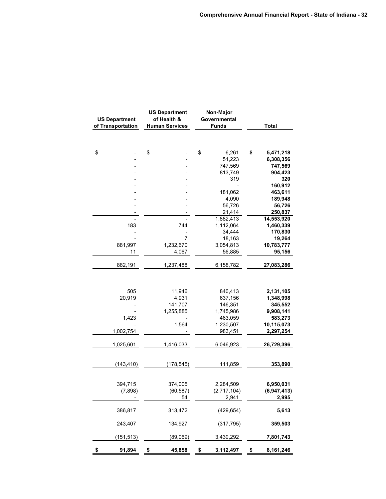| <b>US Department</b> | of Transportation |            | <b>US Department</b><br>Non-Major<br>of Health &<br>Governmental<br><b>Human Services</b><br><b>Funds</b> |             |    |              |
|----------------------|-------------------|------------|-----------------------------------------------------------------------------------------------------------|-------------|----|--------------|
|                      |                   |            |                                                                                                           |             |    | <b>Total</b> |
|                      |                   |            |                                                                                                           |             |    |              |
| \$                   |                   | \$         | \$                                                                                                        | 6,261       | \$ | 5,471,218    |
|                      |                   |            |                                                                                                           | 51,223      |    | 6,308,356    |
|                      |                   |            |                                                                                                           | 747,569     |    | 747,569      |
|                      |                   |            |                                                                                                           | 813,749     |    | 904,423      |
|                      |                   |            |                                                                                                           | 319         |    | 320          |
|                      |                   |            |                                                                                                           |             |    | 160,912      |
|                      |                   |            |                                                                                                           | 181,062     |    | 463,611      |
|                      |                   |            |                                                                                                           | 4,090       |    | 189,948      |
|                      |                   |            |                                                                                                           | 56,726      |    | 56,726       |
|                      |                   |            |                                                                                                           | 21,414      |    | 250,837      |
|                      |                   |            |                                                                                                           | 1,882,413   |    | 14,553,920   |
| 183                  |                   | 744        |                                                                                                           | 1,112,064   |    | 1,460,339    |
|                      |                   |            |                                                                                                           | 34,444      |    | 170,830      |
|                      |                   | 7          |                                                                                                           | 18,163      |    | 19,264       |
| 881,997              |                   | 1,232,670  |                                                                                                           | 3,054,813   |    | 10,783,777   |
|                      | 11                |            |                                                                                                           |             |    | 95,156       |
|                      |                   | 4,067      |                                                                                                           | 56,885      |    |              |
|                      |                   |            |                                                                                                           |             |    | 27,083,286   |
| 882,191              |                   | 1,237,488  |                                                                                                           | 6,158,782   |    |              |
|                      |                   |            |                                                                                                           |             |    |              |
|                      |                   |            |                                                                                                           |             |    |              |
| 505                  |                   | 11,946     |                                                                                                           |             |    |              |
| 20,919               |                   |            |                                                                                                           | 840,413     |    | 2,131,105    |
|                      |                   | 4,931      |                                                                                                           | 637,156     |    | 1,348,998    |
|                      |                   | 141,707    |                                                                                                           | 146,351     |    | 345,552      |
|                      |                   | 1,255,885  |                                                                                                           | 1,745,986   |    | 9,908,141    |
| 1,423                |                   |            |                                                                                                           | 463,059     |    | 583,273      |
|                      |                   | 1,564      |                                                                                                           | 1,230,507   |    | 10,115,073   |
| 1,002,754            |                   |            |                                                                                                           | 983,451     |    | 2,297,254    |
| 1,025,601            |                   | 1,416,033  |                                                                                                           | 6,046,923   |    | 26,729,396   |
|                      |                   |            |                                                                                                           |             |    |              |
|                      |                   |            |                                                                                                           |             |    |              |
| (143, 410)           |                   | (178, 545) |                                                                                                           | 111,859     |    | 353,890      |
|                      |                   |            |                                                                                                           |             |    |              |
|                      |                   |            |                                                                                                           |             |    |              |
| 394,715              |                   | 374,005    |                                                                                                           | 2,284,509   |    | 6,950,031    |
| (7,898)              |                   | (60, 587)  |                                                                                                           | (2,717,104) |    | (6,947,413)  |
|                      |                   | 54         |                                                                                                           | 2,941       |    | 2,995        |
|                      |                   |            |                                                                                                           |             |    |              |
| 386,817              |                   | 313,472    |                                                                                                           | (429, 654)  |    | 5,613        |
|                      |                   |            |                                                                                                           |             |    |              |
| 243,407              |                   | 134,927    |                                                                                                           | (317, 795)  |    | 359,503      |
|                      |                   |            |                                                                                                           |             |    |              |
| (151,513)            |                   | (89,069)   |                                                                                                           | 3,430,292   |    | 7,801,743    |
|                      |                   |            |                                                                                                           |             |    |              |
| 91,894               |                   | 45,858     | \$                                                                                                        | 3,112,497   |    | 8,161,246    |
|                      |                   |            |                                                                                                           |             |    |              |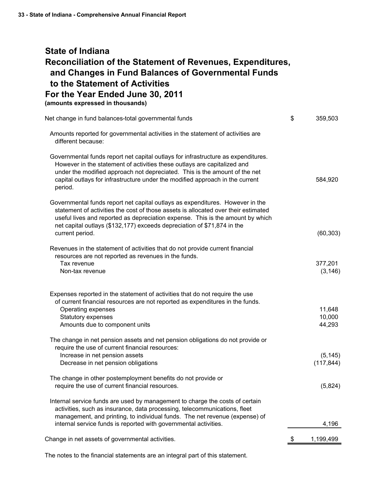#### **State of Indiana Reconciliation of the Statement of Revenues, Expenditures, and Changes in Fund Balances of Governmental Funds to the Statement of Activities For the Year Ended June 30, 2011 (amounts expressed in thousands)**

| Net change in fund balances-total governmental funds                                                                                                                                                                                                                                                                                                | \$<br>359,503              |
|-----------------------------------------------------------------------------------------------------------------------------------------------------------------------------------------------------------------------------------------------------------------------------------------------------------------------------------------------------|----------------------------|
| Amounts reported for governmental activities in the statement of activities are<br>different because:                                                                                                                                                                                                                                               |                            |
| Governmental funds report net capital outlays for infrastructure as expenditures.<br>However in the statement of activities these outlays are capitalized and<br>under the modified approach not depreciated. This is the amount of the net<br>capital outlays for infrastructure under the modified approach in the current<br>period.             | 584,920                    |
| Governmental funds report net capital outlays as expenditures. However in the<br>statement of activities the cost of those assets is allocated over their estimated<br>useful lives and reported as depreciation expense. This is the amount by which<br>net capital outlays (\$132,177) exceeds depreciation of \$71,874 in the<br>current period. | (60, 303)                  |
| Revenues in the statement of activities that do not provide current financial<br>resources are not reported as revenues in the funds.<br>Tax revenue                                                                                                                                                                                                | 377,201                    |
| Non-tax revenue                                                                                                                                                                                                                                                                                                                                     | (3, 146)                   |
| Expenses reported in the statement of activities that do not require the use<br>of current financial resources are not reported as expenditures in the funds.<br>Operating expenses<br>Statutory expenses<br>Amounts due to component units                                                                                                         | 11,648<br>10,000<br>44,293 |
| The change in net pension assets and net pension obligations do not provide or<br>require the use of current financial resources:<br>Increase in net pension assets<br>Decrease in net pension obligations                                                                                                                                          | (5, 145)<br>(117, 844)     |
| The change in other postemployment benefits do not provide or<br>require the use of current financial resources.                                                                                                                                                                                                                                    | (5,824)                    |
| Internal service funds are used by management to charge the costs of certain<br>activities, such as insurance, data processing, telecommunications, fleet<br>management, and printing, to individual funds. The net revenue (expense) of<br>internal service funds is reported with governmental activities.                                        | 4,196                      |
| Change in net assets of governmental activities.                                                                                                                                                                                                                                                                                                    | 1,199,499                  |
|                                                                                                                                                                                                                                                                                                                                                     |                            |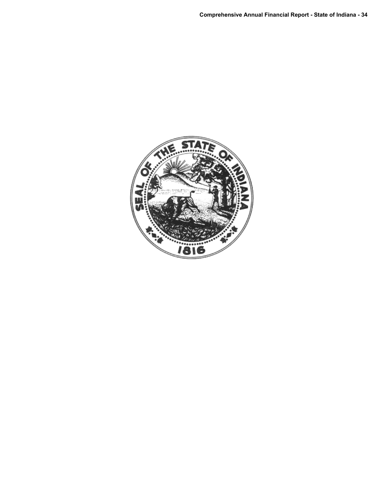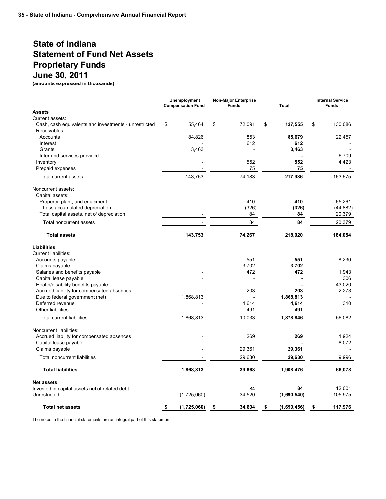# **State of Indiana Statement of Fund Net Assets Proprietary Funds June 30, 2011**

**(amounts expressed in thousands)**

|                                                                                  | Unemployment<br><b>Compensation Fund</b> | <b>Non-Major Enterprise</b><br><b>Funds</b> | Total             | <b>Internal Service</b><br><b>Funds</b> |
|----------------------------------------------------------------------------------|------------------------------------------|---------------------------------------------|-------------------|-----------------------------------------|
| <b>Assets</b>                                                                    |                                          |                                             |                   |                                         |
| Current assets:                                                                  |                                          |                                             |                   |                                         |
| Cash, cash equivalents and investments - unrestricted<br>Receivables:            | \$<br>55,464                             | \$<br>72,091                                | \$<br>127,555     | \$<br>130,086                           |
| Accounts                                                                         | 84,826                                   | 853                                         | 85,679            | 22,457                                  |
| Interest                                                                         |                                          | 612                                         | 612               |                                         |
| Grants                                                                           | 3,463                                    |                                             | 3,463             |                                         |
| Interfund services provided                                                      |                                          |                                             |                   | 6,709                                   |
| Inventory                                                                        |                                          | 552                                         | 552               | 4,423                                   |
| Prepaid expenses                                                                 |                                          | 75                                          | 75                |                                         |
| Total current assets                                                             | 143,753                                  | 74,183                                      | 217,936           | 163,675                                 |
| Noncurrent assets:                                                               |                                          |                                             |                   |                                         |
| Capital assets:                                                                  |                                          |                                             |                   |                                         |
| Property, plant, and equipment                                                   |                                          | 410                                         | 410               | 65,261                                  |
| Less accumulated depreciation                                                    |                                          | (326)                                       | (326)             | (44, 882)                               |
| Total capital assets, net of depreciation                                        |                                          | 84                                          | 84                | 20,379                                  |
| Total noncurrent assets                                                          |                                          | 84                                          | 84                | 20,379                                  |
| <b>Total assets</b>                                                              | 143,753                                  | 74,267                                      | 218,020           | 184,054                                 |
| <b>Liabilities</b>                                                               |                                          |                                             |                   |                                         |
| Current liabilities:                                                             |                                          |                                             |                   |                                         |
| Accounts payable                                                                 |                                          | 551                                         | 551               | 8,230                                   |
| Claims payable                                                                   |                                          | 3,702                                       | 3,702             |                                         |
| Salaries and benefits payable                                                    |                                          | 472                                         | 472               | 1,943                                   |
| Capital lease payable                                                            |                                          |                                             |                   | 306<br>43,020                           |
| Health/disability benefits payable<br>Accrued liability for compensated absences |                                          | 203                                         | 203               | 2,273                                   |
| Due to federal government (net)                                                  | 1,868,813                                |                                             | 1,868,813         |                                         |
| Deferred revenue                                                                 |                                          | 4,614                                       | 4,614             | 310                                     |
| <b>Other liabilities</b>                                                         |                                          | 491                                         | 491               |                                         |
| <b>Total current liabilities</b>                                                 | 1,868,813                                | 10,033                                      | 1,878,846         | 56,082                                  |
|                                                                                  |                                          |                                             |                   |                                         |
| Noncurrent liabilities:                                                          |                                          |                                             |                   |                                         |
| Accrued liability for compensated absences                                       |                                          | 269                                         | 269               | 1,924<br>8,072                          |
| Capital lease payable<br>Claims payable                                          |                                          | 29,361                                      | 29,361            |                                         |
|                                                                                  |                                          |                                             |                   |                                         |
| Total noncurrent liabilities                                                     |                                          | 29,630                                      | 29,630            | 9.996                                   |
| <b>Total liabilities</b>                                                         | 1,868,813                                | 39,663                                      | 1,908,476         | 66,078                                  |
| <b>Net assets</b>                                                                |                                          |                                             |                   |                                         |
| Invested in capital assets net of related debt                                   |                                          | 84                                          | 84                | 12,001                                  |
| Unrestricted                                                                     | (1,725,060)                              | 34,520                                      | (1,690,540)       | 105,975                                 |
| <b>Total net assets</b>                                                          | \$<br>(1,725,060)                        | \$<br>34,604                                | \$<br>(1,690,456) | \$<br>117,976                           |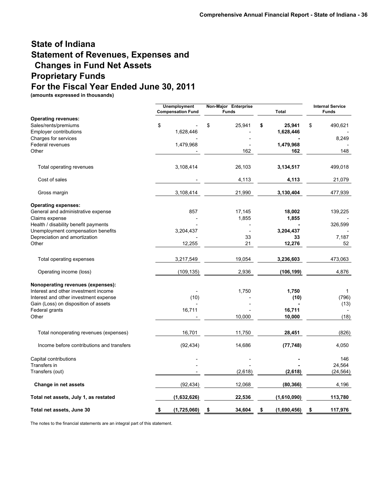### **State of Indiana Statement of Revenues, Expenses and Changes in Fund Net Assets Proprietary Funds For the Fiscal Year Ended June 30, 2011**

**(amounts expressed in thousands)**

|                                           | <b>Unemployment</b><br><b>Compensation Fund</b> | Non-Major Enterprise<br><b>Funds</b> | <b>Total</b>      | <b>Internal Service</b><br><b>Funds</b> |
|-------------------------------------------|-------------------------------------------------|--------------------------------------|-------------------|-----------------------------------------|
| <b>Operating revenues:</b>                |                                                 |                                      |                   |                                         |
| Sales/rents/premiums                      | \$                                              | \$<br>25,941                         | 25,941<br>\$      | 490,621<br>\$                           |
| <b>Employer contributions</b>             | 1,628,446                                       |                                      | 1,628,446         |                                         |
| Charges for services                      |                                                 |                                      |                   | 8,249                                   |
| Federal revenues                          | 1,479,968                                       |                                      | 1,479,968         |                                         |
| Other                                     |                                                 | 162                                  | 162               | 148                                     |
| Total operating revenues                  | 3,108,414                                       | 26,103                               | 3,134,517         | 499,018                                 |
| Cost of sales                             |                                                 | 4,113                                | 4,113             | 21,079                                  |
| Gross margin                              | 3,108,414                                       | 21,990                               | 3,130,404         | 477,939                                 |
| <b>Operating expenses:</b>                |                                                 |                                      |                   |                                         |
| General and administrative expense        | 857                                             | 17,145                               | 18,002            | 139,225                                 |
| Claims expense                            |                                                 | 1,855                                | 1,855             |                                         |
| Health / disability benefit payments      |                                                 |                                      |                   | 326,599                                 |
| Unemployment compensation benefits        | 3,204,437                                       |                                      | 3,204,437         |                                         |
| Depreciation and amortization             |                                                 | 33                                   | 33                | 7,187                                   |
| Other                                     | 12,255                                          | 21                                   | 12,276            | 52                                      |
| Total operating expenses                  | 3,217,549                                       | 19,054                               | 3,236,603         | 473,063                                 |
| Operating income (loss)                   | (109, 135)                                      | 2,936                                | (106, 199)        | 4,876                                   |
| Nonoperating revenues (expenses):         |                                                 |                                      |                   |                                         |
| Interest and other investment income      |                                                 | 1,750                                | 1,750             | 1                                       |
| Interest and other investment expense     | (10)                                            |                                      | (10)              | (796)                                   |
| Gain (Loss) on disposition of assets      |                                                 |                                      |                   | (13)                                    |
| Federal grants                            | 16,711                                          |                                      | 16,711            |                                         |
| Other                                     |                                                 | 10,000                               | 10,000            | (18)                                    |
| Total nonoperating revenues (expenses)    | 16,701                                          | 11,750                               | 28,451            | (826)                                   |
| Income before contributions and transfers | (92, 434)                                       | 14,686                               | (77, 748)         | 4,050                                   |
| Capital contributions                     |                                                 |                                      |                   | 146                                     |
| Transfers in                              |                                                 |                                      |                   | 24,564                                  |
| Transfers (out)                           |                                                 | (2,618)                              | (2,618)           | (24, 564)                               |
| Change in net assets                      | (92, 434)                                       | 12,068                               | (80, 366)         | 4,196                                   |
| Total net assets, July 1, as restated     | (1,632,626)                                     | 22,536                               | (1,610,090)       | 113,780                                 |
| Total net assets, June 30                 | \$<br>(1,725,060)                               | \$<br>34,604                         | (1,690,456)<br>\$ | 117,976<br>\$                           |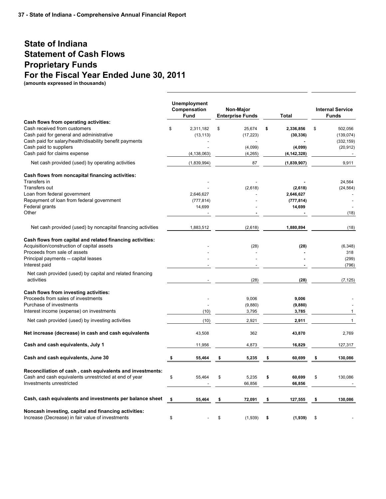# **State of Indiana Statement of Cash Flows Proprietary Funds For the Fiscal Year Ended June 30, 2011**

**(amounts expressed in thousands)**

|                                                                                                                    | <b>Unemployment</b><br>Compensation<br><b>Fund</b> | Non-Major<br><b>Enterprise Funds</b> | <b>Total</b>     | <b>Internal Service</b><br><b>Funds</b> |
|--------------------------------------------------------------------------------------------------------------------|----------------------------------------------------|--------------------------------------|------------------|-----------------------------------------|
| Cash flows from operating activities:                                                                              |                                                    |                                      |                  |                                         |
| Cash received from customers                                                                                       | \$<br>2,311,182                                    | \$<br>25,674                         | \$<br>2,336,856  | \$<br>502,056                           |
| Cash paid for general and administrative                                                                           | (13, 113)                                          | (17, 223)                            | (30, 336)        | (139, 074)                              |
| Cash paid for salary/health/disability benefit payments                                                            |                                                    |                                      |                  | (332, 159)                              |
| Cash paid to suppliers                                                                                             |                                                    | (4,099)                              | (4,099)          | (20, 912)                               |
| Cash paid for claims expense                                                                                       | (4, 138, 063)                                      | (4, 265)                             | (4, 142, 328)    |                                         |
| Net cash provided (used) by operating activities                                                                   | (1,839,994)                                        | 87                                   | (1,839,907)      | 9,911                                   |
| Cash flows from noncapital financing activities:                                                                   |                                                    |                                      |                  |                                         |
| Transfers in                                                                                                       |                                                    |                                      |                  | 24,564                                  |
| Transfers out                                                                                                      |                                                    | (2,618)                              | (2,618)          | (24, 564)                               |
| Loan from federal government                                                                                       | 2,646,627                                          |                                      | 2,646,627        |                                         |
| Repayment of loan from federal government                                                                          | (777, 814)                                         |                                      | (777, 814)       |                                         |
| Federal grants                                                                                                     | 14,699                                             |                                      | 14,699           |                                         |
| Other                                                                                                              |                                                    |                                      |                  | (18)                                    |
| Net cash provided (used) by noncapital financing activities                                                        | 1,883,512                                          | (2,618)                              | 1,880,894        | (18)                                    |
| Cash flows from capital and related financing activities:                                                          |                                                    |                                      |                  |                                         |
| Acquisition/construction of capital assets                                                                         |                                                    | (28)                                 | (28)             | (6,348)                                 |
| Proceeds from sale of assets                                                                                       |                                                    |                                      |                  | 318                                     |
| Principal payments -- capital leases                                                                               |                                                    |                                      |                  | (299)                                   |
| Interest paid                                                                                                      |                                                    |                                      |                  | (796)                                   |
| Net cash provided (used) by capital and related financing<br>activities                                            |                                                    |                                      |                  |                                         |
|                                                                                                                    |                                                    | (28)                                 | (28)             | (7, 125)                                |
| Cash flows from investing activities:                                                                              |                                                    |                                      |                  |                                         |
| Proceeds from sales of investments                                                                                 |                                                    | 9,006                                | 9,006            |                                         |
| Purchase of investments                                                                                            |                                                    | (9,880)                              | (9,880)          |                                         |
| Interest income (expense) on investments                                                                           | (10)                                               | 3,795                                | 3,785            | 1                                       |
| Net cash provided (used) by investing activities                                                                   | (10)                                               | 2,921                                | 2,911            | $\mathbf{1}$                            |
| Net increase (decrease) in cash and cash equivalents                                                               | 43,508                                             | 362                                  | 43,870           | 2,769                                   |
| Cash and cash equivalents, July 1                                                                                  | 11,956                                             | 4,873                                | 16,829           | 127,317                                 |
| Cash and cash equivalents, June 30                                                                                 | \$<br>55,464                                       | \$<br>5,235                          | \$<br>60,699     | \$<br>130,086                           |
|                                                                                                                    |                                                    |                                      |                  |                                         |
| Reconciliation of cash, cash equivalents and investments:<br>Cash and cash equivalents unrestricted at end of year | \$                                                 | \$                                   | \$               | \$<br>130,086                           |
| Investments unrestricted                                                                                           | 55,464                                             | 5,235<br>66,856                      | 60,699<br>66,856 |                                         |
|                                                                                                                    |                                                    |                                      |                  |                                         |
| Cash, cash equivalents and investments per balance sheet                                                           | \$<br>55,464                                       | \$<br>72,091                         | \$<br>127,555    | \$<br>130.086                           |
| Noncash investing, capital and financing activities:                                                               |                                                    |                                      |                  |                                         |
| Increase (Decrease) in fair value of investments                                                                   | \$                                                 | \$<br>(1,939)                        | \$<br>(1,939)    | \$                                      |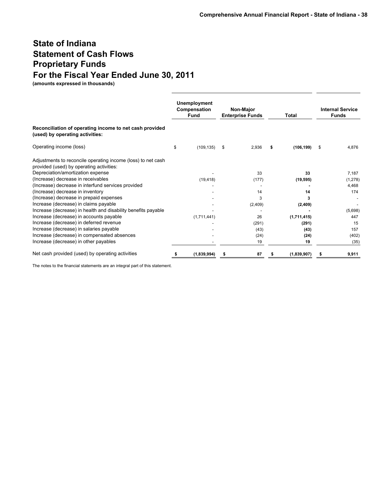### **State of Indiana Statement of Cash Flows Proprietary Funds For the Fiscal Year Ended June 30, 2011**

**(amounts expressed in thousands)**

|                                                                                            | <b>Unemployment</b><br>Compensation<br><b>Fund</b> |   | Non-Major<br><b>Enterprise Funds</b> | Total            |   | <b>Internal Service</b><br><b>Funds</b> |
|--------------------------------------------------------------------------------------------|----------------------------------------------------|---|--------------------------------------|------------------|---|-----------------------------------------|
| Reconciliation of operating income to net cash provided<br>(used) by operating activities: |                                                    |   |                                      |                  |   |                                         |
| Operating income (loss)                                                                    | \$<br>(109, 135)                                   | S | 2,936                                | \$<br>(106, 199) | S | 4,876                                   |
| Adjustments to reconcile operating income (loss) to net cash                               |                                                    |   |                                      |                  |   |                                         |
| provided (used) by operating activities:                                                   |                                                    |   |                                      |                  |   |                                         |
| Depreciation/amortization expense                                                          |                                                    |   | 33                                   | 33               |   | 7,187                                   |
| (Increase) decrease in receivables                                                         | (19, 418)                                          |   | (177)                                | (19, 595)        |   | (1,278)                                 |
| (Increase) decrease in interfund services provided                                         |                                                    |   |                                      |                  |   | 4,468                                   |
| (Increase) decrease in inventory                                                           |                                                    |   | 14                                   | 14               |   | 174                                     |
| (Increase) decrease in prepaid expenses                                                    |                                                    |   | 3                                    | 3                |   |                                         |
| Increase (decrease) in claims payable                                                      |                                                    |   | (2,409)                              | (2,409)          |   |                                         |
| Increase (decrease) in health and disability benefits payable                              |                                                    |   |                                      |                  |   | (5,698)                                 |
| Increase (decrease) in accounts payable                                                    | (1,711,441)                                        |   | 26                                   | (1,711,415)      |   | 447                                     |
| Increase (decrease) in deferred revenue                                                    |                                                    |   | (291)                                | (291)            |   | 15                                      |
| Increase (decrease) in salaries payable                                                    |                                                    |   | (43)                                 | (43)             |   | 157                                     |
| Increase (decrease) in compensated absences                                                |                                                    |   | (24)                                 | (24)             |   | (402)                                   |
| Increase (decrease) in other payables                                                      |                                                    |   | 19                                   | 19               |   | (35)                                    |
| Net cash provided (used) by operating activities                                           | (1,839,994)                                        |   | 87                                   | (1,839,907)      |   | 9,911                                   |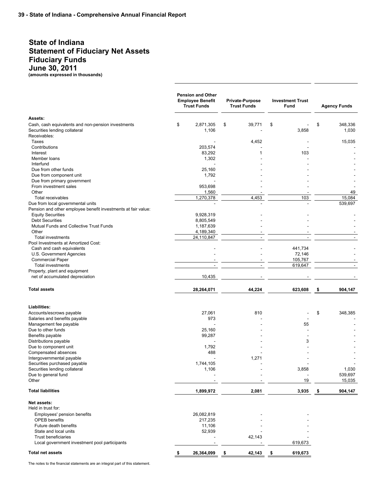#### **State of Indiana Statement of Fiduciary Net Assets Fiduciary Funds June 30, 2011 (amounts expressed in thousands)**

|                                                                                                     | <b>Pension and Other</b><br><b>Employee Benefit</b><br><b>Trust Funds</b> | <b>Private-Purpose</b><br><b>Trust Funds</b> |                          | <b>Investment Trust</b><br>Fund | <b>Agency Funds</b>    |
|-----------------------------------------------------------------------------------------------------|---------------------------------------------------------------------------|----------------------------------------------|--------------------------|---------------------------------|------------------------|
| Assets:                                                                                             |                                                                           |                                              |                          |                                 |                        |
| Cash, cash equivalents and non-pension investments<br>Securities lending collateral<br>Receivables: | \$<br>2,871,305<br>1,106                                                  | \$                                           | 39,771                   | \$<br>3,858                     | \$<br>348,336<br>1,030 |
| Taxes                                                                                               |                                                                           |                                              | 4,452                    |                                 | 15,035                 |
| Contributions                                                                                       | 203,574                                                                   |                                              |                          |                                 |                        |
| Interest                                                                                            | 83,292                                                                    |                                              | 1                        | 103                             |                        |
| Member loans<br>Interfund                                                                           | 1,302                                                                     |                                              |                          |                                 |                        |
| Due from other funds                                                                                | 25,160                                                                    |                                              |                          |                                 |                        |
| Due from component unit                                                                             | 1,792                                                                     |                                              |                          |                                 |                        |
| Due from primary government                                                                         |                                                                           |                                              |                          |                                 |                        |
| From investment sales                                                                               | 953,698                                                                   |                                              |                          |                                 |                        |
| Other                                                                                               | 1,560                                                                     |                                              |                          |                                 | 49                     |
| Total receivables<br>Due from local governmental units                                              | 1,270,378                                                                 |                                              | 4,453                    | 103                             | 15,084<br>539,697      |
| Pension and other employee benefit investments at fair value:                                       |                                                                           |                                              |                          |                                 |                        |
| <b>Equity Securities</b>                                                                            | 9,928,319                                                                 |                                              |                          |                                 |                        |
| <b>Debt Securities</b>                                                                              | 8,805,549                                                                 |                                              |                          |                                 |                        |
| Mutual Funds and Collective Trust Funds                                                             | 1,187,639                                                                 |                                              |                          |                                 |                        |
| Other                                                                                               | 4,189,340                                                                 |                                              |                          |                                 |                        |
| <b>Total investments</b>                                                                            | 24,110,847                                                                |                                              |                          | ÷                               |                        |
| Pool Investments at Amortized Cost:<br>Cash and cash equivalents                                    |                                                                           |                                              |                          | 441,734                         |                        |
| U.S. Government Agencies                                                                            |                                                                           |                                              |                          | 72,146                          |                        |
| <b>Commercial Paper</b>                                                                             |                                                                           |                                              |                          | 105,767                         |                        |
| <b>Total investments</b>                                                                            | $\sim$                                                                    |                                              | $\overline{\phantom{a}}$ | 619,647                         | $\sim$                 |
| Property, plant and equipment                                                                       |                                                                           |                                              |                          |                                 |                        |
| net of accumulated depreciation                                                                     | 10,435                                                                    |                                              |                          |                                 |                        |
| <b>Total assets</b>                                                                                 | 28,264,071                                                                |                                              | 44,224                   | 623,608                         | \$<br>904,147          |
|                                                                                                     |                                                                           |                                              |                          |                                 |                        |
| Liabilities:                                                                                        |                                                                           |                                              |                          |                                 |                        |
| Accounts/escrows payable                                                                            | 27,061<br>973                                                             |                                              | 810                      |                                 | \$<br>348,385          |
| Salaries and benefits payable<br>Management fee payable                                             |                                                                           |                                              |                          | 55                              |                        |
| Due to other funds                                                                                  | 25,160                                                                    |                                              |                          |                                 |                        |
| Benefits payable                                                                                    | 99,287                                                                    |                                              |                          |                                 |                        |
| Distributions payable                                                                               |                                                                           |                                              |                          | 3                               |                        |
| Due to component unit                                                                               | 1,792                                                                     |                                              |                          |                                 |                        |
| Compensated absences                                                                                | 488                                                                       |                                              | 1,271                    |                                 |                        |
| Intergovernmental payable<br>Securities purchased payable                                           | 1,744,105                                                                 |                                              |                          |                                 |                        |
| Securities lending collateral                                                                       | 1,106                                                                     |                                              |                          | 3,858                           | 1,030                  |
| Due to general fund                                                                                 |                                                                           |                                              |                          |                                 | 539,697                |
| Other                                                                                               |                                                                           |                                              |                          | 19                              | 15,035                 |
| <b>Total liabilities</b>                                                                            | 1,899,972                                                                 |                                              | 2,081                    | 3,935                           | \$<br>904,147          |
| Net assets:                                                                                         |                                                                           |                                              |                          |                                 |                        |
| Held in trust for:                                                                                  |                                                                           |                                              |                          |                                 |                        |
| Employees' pension benefits                                                                         | 26,082,819                                                                |                                              |                          |                                 |                        |
| <b>OPEB</b> benefits                                                                                | 217,235                                                                   |                                              |                          |                                 |                        |
| Future death benefits                                                                               | 11,106                                                                    |                                              |                          |                                 |                        |
| State and local units<br><b>Trust beneficiaries</b>                                                 | 52,939                                                                    |                                              | 42,143                   |                                 |                        |
| Local government investment pool participants                                                       |                                                                           |                                              |                          | 619,673                         |                        |
| <b>Total net assets</b>                                                                             | \$<br>26,364,099                                                          | 5                                            | 42,143                   | \$<br>619,673                   |                        |
|                                                                                                     |                                                                           |                                              |                          |                                 |                        |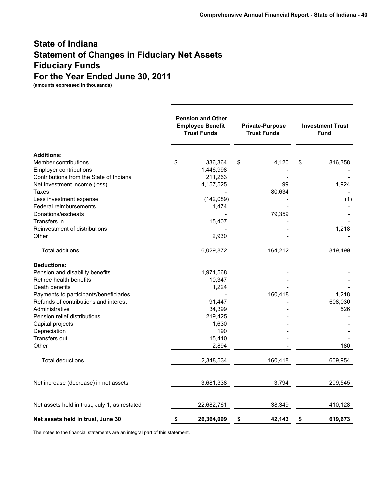# **State of Indiana Statement of Changes in Fiduciary Net Assets Fiduciary Funds For the Year Ended June 30, 2011**

**(amounts expressed in thousands)**

|                                               | <b>Pension and Other</b><br><b>Employee Benefit</b><br><b>Trust Funds</b> | <b>Private-Purpose</b><br><b>Trust Funds</b> | <b>Investment Trust</b><br><b>Fund</b> |
|-----------------------------------------------|---------------------------------------------------------------------------|----------------------------------------------|----------------------------------------|
| <b>Additions:</b><br>Member contributions     | \$<br>336,364                                                             | \$<br>4,120                                  | \$<br>816,358                          |
| <b>Employer contributions</b>                 | 1,446,998                                                                 |                                              |                                        |
| Contributions from the State of Indiana       | 211,263                                                                   |                                              |                                        |
| Net investment income (loss)                  | 4, 157, 525                                                               | 99                                           | 1,924                                  |
| Taxes                                         |                                                                           | 80,634                                       |                                        |
| Less investment expense                       | (142,089)                                                                 |                                              | (1)                                    |
| Federal reimbursements                        | 1,474                                                                     |                                              |                                        |
| Donations/escheats                            |                                                                           | 79,359                                       |                                        |
| Transfers in                                  | 15,407                                                                    |                                              |                                        |
| Reinvestment of distributions                 |                                                                           |                                              | 1,218                                  |
| Other                                         | 2,930                                                                     |                                              |                                        |
| <b>Total additions</b>                        | 6,029,872                                                                 | 164,212                                      | 819,499                                |
| <b>Deductions:</b>                            |                                                                           |                                              |                                        |
| Pension and disability benefits               | 1,971,568                                                                 |                                              |                                        |
| Retiree health benefits                       | 10,347                                                                    |                                              |                                        |
| Death benefits                                | 1,224                                                                     |                                              |                                        |
| Payments to participants/beneficiaries        |                                                                           | 160,418                                      | 1,218                                  |
| Refunds of contributions and interest         | 91,447                                                                    |                                              | 608,030                                |
| Administrative                                | 34,399                                                                    |                                              | 526                                    |
| Pension relief distributions                  | 219,425                                                                   |                                              |                                        |
| Capital projects                              | 1,630                                                                     |                                              |                                        |
| Depreciation                                  | 190                                                                       |                                              |                                        |
| Transfers out                                 | 15,410                                                                    |                                              |                                        |
| Other                                         | 2,894                                                                     |                                              | 180                                    |
| <b>Total deductions</b>                       | 2,348,534                                                                 | 160,418                                      | 609,954                                |
| Net increase (decrease) in net assets         | 3,681,338                                                                 | 3,794                                        | 209,545                                |
| Net assets held in trust, July 1, as restated | 22,682,761                                                                | 38,349                                       | 410,128                                |
| Net assets held in trust, June 30             | \$<br>26,364,099                                                          | \$<br>42,143                                 | \$<br>619,673                          |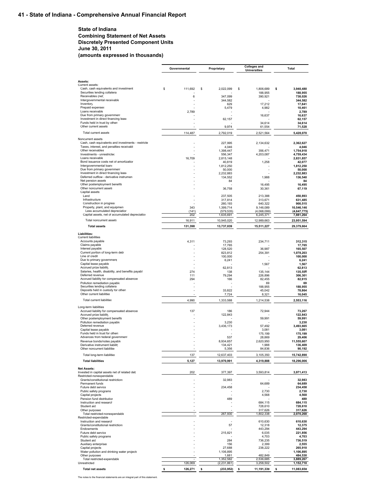#### **41 - State of Indiana - Comprehensive Annual Financial Report**

**State of Indiana Combining Statement of Net Assets Discretely Presented Component Units June 30, 2011 (amounts expressed in thousands)**

|                                                                             | Governmental  | Proprietary                | <b>Colleges and</b><br><b>Universities</b> | Total                  |
|-----------------------------------------------------------------------------|---------------|----------------------------|--------------------------------------------|------------------------|
|                                                                             |               |                            |                                            |                        |
| Assets:<br>Current assets:                                                  |               |                            |                                            |                        |
| Cash, cash equivalents and investment                                       | \$<br>111,692 | \$<br>2,022,099            | \$<br>1,806,689                            | \$<br>3,940,480        |
| Securities lending collatera<br>Receivables (net)                           | 6             | 347,099                    | 188,955<br>390,921                         | 188,955<br>738,026     |
| Intergovernmental receivable<br>Inventory                                   |               | 344,582<br>629             |                                            | 344,582                |
| Prepaid expenses                                                            |               | 5,479                      | 17,212<br>4,982                            | 17,841<br>10,461       |
| Loans receivable                                                            | 2,789         |                            |                                            | 2,789                  |
| Due from primary government<br>Investment in direct financing lease         |               | 62,157                     | 16,637                                     | 16,637<br>62,157       |
| Funds held in trust by other:                                               |               |                            | 34,614                                     | 34,614                 |
| Other current assets                                                        |               | 9,974                      | 61,554                                     | 71,528                 |
| Total current assets                                                        | 114,487       | 2,792,019                  | 2,521,564                                  | 5,428,070              |
| Noncurrent assets<br>Cash, cash equivalents and investments - restricte     |               | 227.995                    | 2,134,632                                  | 2.362.627              |
| Taxes, interest, and penalties receivable                                   |               | 4,046                      |                                            | 4,046                  |
| Other receivables                                                           |               | 1,398,447                  | 356,471                                    | 1,754,918              |
| Investments - unrestricted<br>Loans receivable                              | 16,709        | 556,347<br>2,815,148       | 4,203,087                                  | 4,759,434<br>2,831,857 |
| Bond issuance costs net of amortization                                     |               | 40,819                     | 1,258                                      | 42,077                 |
| Intergovernmental loans<br>Due from primary government                      |               | 1,812,250<br>50,000        |                                            | 1,812,250<br>50,000    |
| Investment in direct financing lease                                        |               | 2,232,883                  |                                            | 2,232,883              |
| Deferred outflow - derivative instrumen<br>Net pension assets               |               | 134,552<br>84              | 1,988                                      | 136,540<br>84          |
| Other postemployment benefits                                               |               |                            | 16,495                                     | 16,495                 |
| Other noncurrent assets<br>Capital assets:                                  |               | 36,758                     | 30,361                                     | 67,119                 |
| Land                                                                        |               | 237,505                    | 213,388                                    | 450,893                |
| Infrastructure                                                              |               | 317,814                    | 313,671                                    | 631,485                |
| Construction in progress<br>Property, plant, and equipmen                   | 343           | 260.193<br>1,399,714       | 640,322<br>9,146,089                       | 900,515<br>10,546,146  |
| Less accumulated depreciation                                               | (141)         | (579, 535)                 | (4,068,099)                                | (4, 647, 775)          |
| Capital assets, net of accumulated depreciation                             | 202           | 1,635,691                  | 6,245,371                                  | 7,881,264              |
| Total noncurrent assets                                                     | 16,911        | 10,945,020                 | 12,989,663                                 | 23,951,594             |
| <b>Total assets</b>                                                         | 131,398       | 13,737,039                 | 15,511,227                                 | 29,379,664             |
| Liabilities:                                                                |               |                            |                                            |                        |
| <b>Current liabilities</b>                                                  |               |                            |                                            |                        |
| Accounts payable<br>Claims payable                                          | 4,311         | 73,293<br>17,765           | 234,711                                    | 312,315<br>17,765      |
| Interest payable                                                            |               | 128,520                    | 36,987                                     | 165,507                |
| Current portion of long-term deb<br>Line of credit                          |               | 823,812<br>100,000         | 254,391                                    | 1,078,203<br>100,000   |
| Due to primary government                                                   |               | 6,241                      |                                            | 6,241                  |
| Capital lease payable<br>Accrued prize liability                            |               | 62,813                     | 1,567                                      | 1,567<br>62,813        |
| Salaries, health, disability, and benefits payabl                           | 274           | 138                        | 135,144                                    | 135,556                |
| Deferred revenue                                                            | 111           | 79,294                     | 226,896                                    | 306,301                |
| Accrued liability for compensated absence:<br>Pollution remediation payable | 294           | 166                        | 82,455<br>69                               | 82,915<br>69           |
| Securities lending collatera                                                |               |                            | 188,955                                    | 188,955                |
| Deposits held in custody for other:<br>Other current liabilities            | ٠             | 33,822<br>7,724            | 45,042<br>8,321                            | 78,864<br>16,045       |
| Total current liabilities                                                   | 4,990         | 1,333,588                  | 1,214,538                                  | 2,553,116              |
|                                                                             |               |                            |                                            |                        |
| Long-term liabilities<br>Accrued liability for compensated absence:         | 137           | 186                        | 72,944                                     | 73,267                 |
| Accrued prize liability                                                     |               | 122,843                    |                                            | 122,843                |
| Other postemployment benefits<br>Pollution remediation payable              |               | 3,230                      | 59,991                                     | 59,991<br>3,230        |
| Deferred revenue                                                            |               | 3,436,173                  | 57,492                                     | 3,493,665              |
| Capital lease payable<br>Funds held in trust for other:                     |               |                            | 3,081                                      | 3,081<br>175,199       |
| Advances from federal government                                            |               | 537                        | 175,199<br>28,869                          | 29,406                 |
| Revenue bonds/notes payable                                                 |               | 8,934,657                  | 2,620,950                                  | 11,555,607             |
| Derivative instrument liability<br>Other noncurrent liabilities             |               | 134,421<br>5,356           | 1,988<br>84,836                            | 136,409<br>90,192      |
| Total long-term liabilities                                                 | 137           | 12,637,403                 | 3,105,350                                  | 15,742,890             |
| <b>Total liabilities</b>                                                    | 5,127         | 13,970,991                 | 4,319,888                                  | 18,296,006             |
|                                                                             |               |                            |                                            |                        |
| <b>Net Assets:</b><br>Invested in capital assets net of related deb         |               |                            |                                            |                        |
| Restricted-nonexpendable                                                    | 202           | 377,397                    | 3,593,814                                  | 3,971,413              |
| Grants/constitutional restriction                                           |               | 32,983                     |                                            | 32,983                 |
| Permanent funds<br>Future debt service                                      |               | 234,458                    | 64,689                                     | 64,689<br>234,458      |
| Public safety programs                                                      |               |                            | 2,730                                      | 2,730                  |
| Capital projects<br>Pension fund distributior                               |               | 489                        | 4,568                                      | 4,568<br>489           |
| Instruction and research                                                    |               |                            | 684,115                                    | 684,115                |
| Student aid                                                                 |               |                            | 728,610                                    | 728,610                |
| Other purposes<br>Total restricted-nonexpendable                            |               | 267,930                    | 317,626<br>1,802,338                       | 317,626<br>2,070,268   |
| Restricted-expendable                                                       |               |                            |                                            |                        |
| Instruction and research<br>Grants/constitutional restriction               |               | 57                         | 610,630<br>12,318                          | 610,630<br>12,375      |
| Endowments                                                                  |               |                            | 443,294                                    | 443,294                |
| Future debt service<br>Public safety programs                               |               | 215,821                    | 6,035<br>4,703                             | 221,856<br>4,703       |
| Student aid                                                                 |               | 284                        | 736,235                                    | 736,519                |
| Auxiliary enterprises                                                       |               | 156                        | 2,399                                      | 2,555                  |
| Capital projects<br>Water pollution and drinking water projects             |               | 27,688<br>1,106,895        | 238,222                                    | 265,910<br>1,106,895   |
| Other purposes                                                              |               | 1,681                      | 482,849                                    | 484,530                |
| Total restricted-expendable<br>Unrestricted                                 | 126,069       | 1,352,582<br>(2, 231, 861) | 2,536,685<br>3,258,502                     | 3,889,267<br>1,152,710 |
| <b>Total net assets</b>                                                     | \$<br>126,271 | \$<br>(233, 952)           | \$<br>11,191,339                           | \$<br>11,083,658       |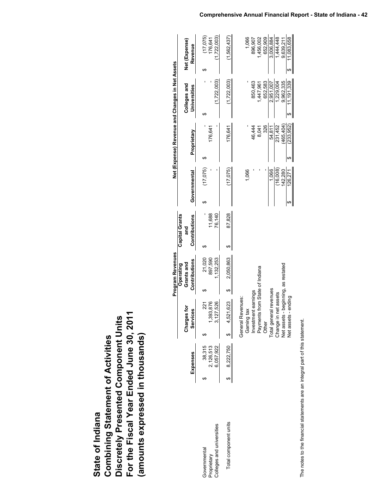For the Fiscal Year Ended June 30, 2011 **For the Fiscal Year Ended June 30, 2011** Discretely Presented Component Units **Discretely Presented Component Units** (amounts expressed in thousands) **Combining Statement of Activities (amounts expressed in thousands) Combining Statement of Activities** State of Indiana **State of Indiana**

|                                                                 |                                  |                                 |                               |   | Program Revenues                         |                                        |                  |              |             |            | Net (Expense) Revenue and Changes in Net Assets |                                |
|-----------------------------------------------------------------|----------------------------------|---------------------------------|-------------------------------|---|------------------------------------------|----------------------------------------|------------------|--------------|-------------|------------|-------------------------------------------------|--------------------------------|
|                                                                 | Expenses                         | Services<br>Charges             | ğ                             |   | Contributions<br>Grants and<br>Operating | Capital Grants<br>Contributions<br>and |                  | Governmental | Proprietary |            | Colleges and<br>Universities                    | Net (Expense)<br>Revenue       |
| Colleges and universities<br>Governmental<br><b>Proprietary</b> | 38,315<br>2,126,513<br>6,057,922 |                                 | 1,393,876<br>3,127,526<br>221 |   | 21,020<br>132,253<br>897,590             |                                        | 11,688<br>76,140 | (17, 075)    |             | 76,641     | 1,722,003)                                      | 17,075<br>1,722,003<br>176,641 |
| Total component units                                           | 8,222,750                        | $\bullet$                       | 4,521,623                     | ↔ | 2,050,863                                |                                        | 87,828           | (17.075)     |             | 176.641    | (1,722,003)                                     | (1,562,437)                    |
|                                                                 |                                  | General Revenues:<br>Gaming tax |                               |   |                                          |                                        |                  | 1,066        |             |            |                                                 | 1,066                          |
|                                                                 |                                  | Investment earnings             |                               |   |                                          |                                        |                  |              |             | 46,444     | 850,463                                         | 896,907                        |
|                                                                 |                                  | Payments from State of Indiana  |                               |   |                                          |                                        |                  |              |             | 8,041      | 1,447,961                                       | ,456,002                       |
|                                                                 |                                  | Other                           |                               |   |                                          |                                        |                  |              |             | 326        | 652,583                                         | 652,909                        |
|                                                                 |                                  | Total general revenues          |                               |   |                                          |                                        |                  | 1,066        |             | 54,811     | 2,951,007                                       | 3,006,884                      |
|                                                                 |                                  | Change in net assets            |                               |   |                                          |                                        |                  | (16,008)     |             | 231,452    | 1,229,004                                       | 1,444,448                      |
|                                                                 |                                  | Net assets                      | - beginning, as restated      |   |                                          |                                        |                  | 142,280      |             | (465, 404) | 9,962,335                                       | 9,639,211                      |
|                                                                 |                                  | Net assets                      | - ending                      |   |                                          |                                        | ക                | 126.271      | ക           | (233, 952) | 11, 191, 339<br>မာ                              | 11,083,658<br>G                |
|                                                                 |                                  |                                 |                               |   |                                          |                                        |                  |              |             |            |                                                 |                                |

The notes to the financial statements are an integral part of this statement. The notes to the financial statements are an integral part of this statement.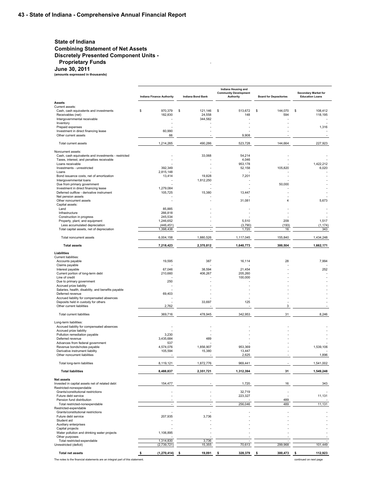#### **State of Indiana Combining Statement of Net Assets Discretely Presented Component Units - Proprietary Funds**

**June 30, 2011**

**(amounts expressed in thousands)**

|                                                                       | <b>Indiana Finance Authority</b> | <b>Indiana Bond Bank</b> | Indiana Housing and<br><b>Community Development</b><br>Authority | <b>Board for Depositories</b> | <b>Secondary Market for</b><br><b>Education Loans</b> |
|-----------------------------------------------------------------------|----------------------------------|--------------------------|------------------------------------------------------------------|-------------------------------|-------------------------------------------------------|
| Assets                                                                |                                  |                          |                                                                  |                               |                                                       |
| Current assets:                                                       |                                  |                          |                                                                  |                               |                                                       |
| Cash, cash equivalents and investments                                | s<br>970,379                     | \$<br>121,146            | \$<br>513,672                                                    | S<br>144,070                  | \$<br>108.412                                         |
| Receivables (net)                                                     | 182,830                          | 24,558                   | 148                                                              | 594                           | 118,195                                               |
| Intergovernmental receivable<br>Inventory                             |                                  | 344,582                  |                                                                  |                               |                                                       |
| Prepaid expenses                                                      |                                  |                          |                                                                  |                               | 1,316                                                 |
| Investment in direct financing lease                                  | 60,990                           |                          |                                                                  |                               |                                                       |
| Other current assets                                                  | 66                               |                          | 9,908                                                            |                               |                                                       |
| Total current assets                                                  | 1,214,265                        | 490,286                  | 523,728                                                          | 144,664                       | 227,923                                               |
| Noncurrent assets:                                                    |                                  |                          |                                                                  |                               |                                                       |
| Cash, cash equivalents and investments - restricted                   |                                  | 33,068                   | 54,214                                                           |                               |                                                       |
| Taxes, interest, and penalties receivable                             |                                  |                          | 4,046                                                            |                               |                                                       |
| Loans receivable                                                      |                                  |                          | 953,178                                                          |                               | 1,422,212                                             |
| Investments - unrestricted                                            | 392,349                          |                          | 52,158                                                           | 105,820                       | 6,020                                                 |
| Loans                                                                 | 2,815,148                        |                          |                                                                  |                               |                                                       |
| Bond issuance costs, net of amortization                              | 13,414                           | 19,828                   | 7,201                                                            |                               |                                                       |
| Intergovernmental loans                                               |                                  | 1,812,250                |                                                                  |                               |                                                       |
| Due from primary government                                           |                                  |                          |                                                                  | 50,000                        |                                                       |
| Investment in direct financing lease                                  | 1,279,084                        |                          |                                                                  |                               |                                                       |
| Deferred outflow - derivative instrument                              | 105,725                          | 15,380                   | 13,447                                                           |                               |                                                       |
| Net pension assets                                                    |                                  |                          |                                                                  | $\overline{4}$                |                                                       |
| Other noncurrent assets<br>Capital assets:                            |                                  |                          | 31,081                                                           |                               | 5,673                                                 |
| Land                                                                  | 85,885                           |                          |                                                                  |                               |                                                       |
| Infrastructure                                                        | 266,818                          |                          |                                                                  |                               |                                                       |
| Construction in progress                                              | 245,534                          |                          |                                                                  |                               |                                                       |
| Property, plant, and equipment                                        | 1,246,652                        |                          | 5,510                                                            | 209                           | 1,517                                                 |
| Less accumulated depreciation                                         | (446, 451)                       |                          | (3,790)                                                          | (193)                         | (1, 174)                                              |
| Total capital assets, net of depreciation                             | 1,398,438                        |                          | 1,720                                                            | 16                            | 343                                                   |
| Total noncurrent assets                                               | 6,004,158                        | 1,880,526                | 1,117,045                                                        | 155,840                       | 1,434,248                                             |
| <b>Total assets</b>                                                   | 7,218,423                        | 2,370,812                | 1,640,773                                                        | 300,504                       | 1,662,171                                             |
|                                                                       |                                  |                          |                                                                  |                               |                                                       |
| Liabilities                                                           |                                  |                          |                                                                  |                               |                                                       |
| Current liabilities:                                                  |                                  |                          |                                                                  |                               |                                                       |
| Accounts payable                                                      | 19,595                           | 387                      | 16,114                                                           | 28                            | 7,994                                                 |
| Claims payable<br>Interest payable                                    | 67,046                           | 38,594                   | 21,454                                                           |                               | 252                                                   |
| Current portion of long-term debt                                     | 210,660                          | 406,267                  | 205,260                                                          |                               |                                                       |
| Line of credit                                                        |                                  |                          | 100,000                                                          |                               |                                                       |
| Due to primary government                                             | 250                              |                          |                                                                  |                               |                                                       |
| Accrued prize liability                                               |                                  |                          |                                                                  |                               |                                                       |
| Salaries, health, disability, and benefits payable                    |                                  |                          |                                                                  |                               |                                                       |
| Deferred revenue                                                      | 69,403                           |                          |                                                                  |                               |                                                       |
| Accrued liability for compensated absences                            |                                  |                          |                                                                  |                               |                                                       |
| Deposits held in custody for others                                   |                                  | 33,697                   | 125                                                              |                               |                                                       |
| Other current liabilities                                             | 2,762                            |                          |                                                                  | 3                             |                                                       |
| Total current liabilities                                             | 369,716                          | 478,945                  | 342,953                                                          | 31                            | 8,246                                                 |
|                                                                       |                                  |                          |                                                                  |                               |                                                       |
| Long-term liabilities:                                                |                                  |                          |                                                                  |                               |                                                       |
| Accrued liability for compensated absences<br>Accrued prize liability |                                  |                          |                                                                  |                               |                                                       |
| Pollution remediation payable                                         | 3,230                            |                          |                                                                  |                               |                                                       |
| Deferred revenue                                                      | 3,435,684                        | 489                      |                                                                  |                               |                                                       |
| Advances from federal government                                      | 537                              |                          |                                                                  |                               |                                                       |
| Revenue bonds/notes payable                                           | 4,574,076                        | 1,856,907                | 953,369                                                          |                               | 1,539,106                                             |
| Derivative instrument liability                                       | 105,594                          | 15,380                   | 13,447                                                           |                               |                                                       |
| Other noncurrent liabilities                                          |                                  |                          | 2,625                                                            |                               | 1,896                                                 |
| Total long-term liabilities                                           | 8,119,121                        | 1,872,776                | 969,441                                                          |                               | 1,541,002                                             |
| <b>Total liabilities</b>                                              | 8,488,837                        | 2,351,721                | 1,312,394                                                        | 31                            | 1,549,248                                             |
| <b>Net assets</b>                                                     |                                  |                          |                                                                  |                               |                                                       |
| Invested in capital assets net of related debt                        | 154,477                          |                          | 1,720                                                            | 16                            | 343                                                   |
| Restricted-nonexpendable                                              |                                  |                          |                                                                  |                               |                                                       |
| Grants/constitutional restrictions                                    |                                  |                          | 32,719                                                           |                               |                                                       |
| Future debt service                                                   |                                  |                          | 223,327                                                          |                               | 11,131                                                |
| Pension fund distribution                                             |                                  |                          |                                                                  | 489                           |                                                       |
| Total restricted-nonexpendable                                        |                                  |                          | 256,046                                                          | 489                           | 11,131                                                |
| Restricted-expendable                                                 |                                  |                          |                                                                  |                               |                                                       |
| Grants/constitutional restrictions                                    |                                  |                          |                                                                  |                               |                                                       |
| Future debt service                                                   | 207,935                          | 3,736                    |                                                                  |                               |                                                       |
| Student aid                                                           |                                  |                          |                                                                  |                               |                                                       |
| Auxiliary enterprises                                                 |                                  |                          |                                                                  |                               |                                                       |
| Capital projects                                                      |                                  |                          |                                                                  |                               |                                                       |
| Water pollution and drinking water projects                           | 1,106,895                        |                          |                                                                  |                               |                                                       |
| Other purposes                                                        |                                  |                          |                                                                  |                               |                                                       |
| Total restricted-expendable                                           | 1,314,830                        | 3,736                    |                                                                  |                               |                                                       |
| Unrestricted (deficit)                                                | (2,739,721)                      | 15,355                   | 70,613                                                           | 299,968                       | 101,449                                               |
| <b>Total net assets</b>                                               | \$<br>(1, 270, 414)              | 19,091<br>-S             | 328,379<br>\$                                                    | \$<br>300,473                 | 112,923<br>\$                                         |

The notes to the financial statements are an integral part of this statement. Continued on next page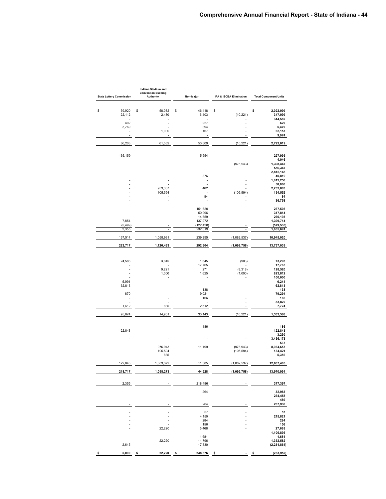|                                 | <b>Indiana Stadium and</b><br><b>Convention Building</b> |                       |                          |                              |
|---------------------------------|----------------------------------------------------------|-----------------------|--------------------------|------------------------------|
| <b>State Lottery Commission</b> | Authority                                                | Non-Major             | IFA & ISCBA Elimination  | <b>Total Component Units</b> |
| \$<br>59,920                    | \$<br>58,082                                             | \$<br>46,418          | \$                       | \$<br>2,022,099              |
| 22,112                          | 2,480                                                    | 6,403                 | (10, 221)                | 347,099<br>344,582           |
| 402                             |                                                          | 227                   |                          | 629                          |
| 3,769                           | 1,000                                                    | 394<br>167            |                          | 5,479<br>62,157              |
|                                 |                                                          |                       |                          | 9,974                        |
| 86,203                          | 61,562                                                   | 53,609                | (10, 221)                | 2,792,019                    |
| 135,159                         |                                                          | 5,554                 |                          | 227,995<br>4,046             |
|                                 |                                                          |                       | (976, 943)               | 1,398,447<br>556,347         |
|                                 |                                                          |                       |                          | 2,815,148                    |
|                                 |                                                          | 376                   |                          | 40,819<br>1,812,250          |
|                                 |                                                          |                       |                          | 50,000                       |
|                                 | 953,337<br>105,594                                       | 462                   | (105, 594)               | 2,232,883<br>134,552         |
|                                 |                                                          | 84                    |                          | 84                           |
|                                 |                                                          |                       |                          | 36,758                       |
|                                 |                                                          | 151,620               |                          | 237,505                      |
|                                 |                                                          | 50,996<br>14,659      |                          | 317,814<br>260,193           |
| 7,854                           |                                                          | 137,972               |                          | 1,399,714                    |
| (5, 499)<br>2,355               | ÷,                                                       | (122, 428)<br>232,819 |                          | (579, 535)<br>1,635,691      |
| 137,514                         | 1,058,931                                                | 239,295               | (1,082,537)              | 10,945,020                   |
| 223,717                         | 1,120,493                                                | 292,904               | (1,092,758)              | 13,737,039                   |
|                                 |                                                          |                       |                          |                              |
| 24,588                          | 3,845                                                    | 1,645                 | (903)                    | 73,293                       |
|                                 | 9,221                                                    | 17,765<br>271         | (8, 318)                 | 17,765<br>128,520            |
|                                 | 1,000                                                    | 1,625                 | (1,000)                  | 823,812                      |
| 5,991                           |                                                          |                       |                          | 100,000<br>6,241             |
| 62,813                          |                                                          |                       |                          | 62,813                       |
| 870                             |                                                          | 138<br>9,021          |                          | 138<br>79,294                |
|                                 |                                                          | 166                   |                          | 166                          |
| 1,612                           | 835                                                      | 2,512                 |                          | 33,822<br>7,724              |
| 95,874                          | 14,901                                                   | 33,143                | (10, 221)                | 1,333,588                    |
|                                 |                                                          | 186                   |                          | 186                          |
| 122,843                         |                                                          |                       |                          | 122,843                      |
|                                 |                                                          |                       |                          | 3,230<br>3,436,173           |
|                                 |                                                          |                       |                          | 537                          |
|                                 | 976,943<br>105,594                                       | 11,199                | (976, 943)<br>(105, 594) | 8,934,657<br>134,421         |
|                                 | 835                                                      |                       |                          | 5,356                        |
| 122,843                         | 1,083,372                                                | 11,385                | (1,082,537)              | 12,637,403                   |
| 218,717                         | 1,098,273                                                | 44,528                | (1,092,758)              | 13,970,991                   |
| 2,355                           |                                                          | 218,486               |                          | 377,397                      |
|                                 |                                                          | 264                   |                          | 32,983                       |
|                                 |                                                          | ÷,                    |                          | 234,458<br>489               |
| ÷.                              |                                                          | 264                   |                          | 267,930                      |
|                                 |                                                          | 57<br>4,150           |                          | 57<br>215,821                |
|                                 |                                                          | 284                   |                          | 284                          |
|                                 | 22,220                                                   | 156<br>5,468          |                          | 156<br>27,688                |
|                                 |                                                          |                       |                          | 1,106,895                    |
|                                 | 22,220                                                   | 1,681<br>11,796       |                          | 1,681<br>1,352,582           |
| 2,645                           |                                                          | 17,830                |                          | (2, 231, 861)                |
| 5,000<br>\$                     | $\sim$<br>22,220                                         | 248,376<br>\$         | \$<br>$\blacksquare$     | (233, 952)<br>\$             |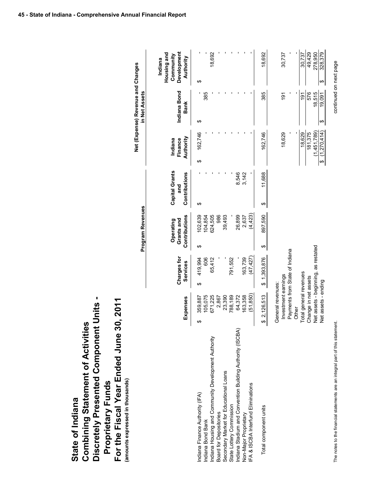|                                                                               |                        |                                     |   | Program Revenues                         |   |                                        |                                       | Net (Expense) Revenue and Changes<br>in Net Assets |                                                                 |         |
|-------------------------------------------------------------------------------|------------------------|-------------------------------------|---|------------------------------------------|---|----------------------------------------|---------------------------------------|----------------------------------------------------|-----------------------------------------------------------------|---------|
|                                                                               | <b>Expenses</b>        | Charges for<br>Services             |   | Contributions<br>Grants and<br>Operating |   | Capital Grants<br>Contributions<br>and | Authority<br>Indiana<br>Finance       | Indiana Bond<br>Bank                               | Development<br>Housing and<br>Community<br>Authority<br>Indiana |         |
| ndiana Finance Authority (IFA)                                                | 359,887<br>↮           | 419,994<br>↮                        | ↮ | 102,639                                  | ↮ |                                        | 162,746<br>↮                          | ↮                                                  | ↮                                                               |         |
| Indiana Bond Bank                                                             | 105,075                | 606                                 |   | 104,854                                  |   |                                        |                                       | 385                                                |                                                                 |         |
| Indiana Housing and Community Development Authority                           | 671,225                | 65,412                              |   | 624,505                                  |   |                                        |                                       |                                                    |                                                                 | 18,692  |
| <b>Board for Depositories</b>                                                 | 2,867                  |                                     |   | 986                                      |   |                                        |                                       |                                                    |                                                                 |         |
| Secondary Market for Educational Loans                                        | 23,390                 |                                     |   | 39,493                                   |   |                                        |                                       |                                                    |                                                                 |         |
| State Lottery Commission                                                      | 788,189                | 791,552                             |   |                                          |   |                                        |                                       |                                                    |                                                                 |         |
| Indiana Stadium and Convention Building Authority (ISCBA)                     | 64,372                 |                                     |   | 26,899                                   |   | 8,546                                  |                                       |                                                    |                                                                 |         |
| Non-Major Proprietary                                                         | 163,358                | 163,739                             |   | 2,637                                    |   | 3,142                                  |                                       |                                                    |                                                                 |         |
| IFA & ISCBA Interfund Eliminations                                            | (51, 850)              | (47, 427)                           |   | (4, 423)                                 |   |                                        |                                       |                                                    |                                                                 |         |
| Total component units                                                         | \$2,126,513            | \$1,393,876                         | ↮ | 897,590                                  | ↮ | 11,688                                 | 162,746                               | 385                                                |                                                                 | 18,692  |
|                                                                               | General revenues:      |                                     |   |                                          |   |                                        |                                       |                                                    |                                                                 |         |
|                                                                               | Investment earnings    |                                     |   |                                          |   |                                        | 18,629                                | $\overline{191}$                                   |                                                                 | 30,737  |
|                                                                               |                        | Payments from State of Indiana      |   |                                          |   |                                        |                                       |                                                    |                                                                 |         |
|                                                                               | Other                  |                                     |   |                                          |   |                                        |                                       |                                                    |                                                                 |         |
|                                                                               | Total general revenues |                                     |   |                                          |   |                                        | 18,629                                | $\frac{5}{2}$                                      |                                                                 | 30,737  |
|                                                                               | Change in net assets   |                                     |   |                                          |   |                                        | 181,375                               | 576                                                |                                                                 | 49,429  |
|                                                                               |                        | Net assets - beginning, as restated |   |                                          |   |                                        | (687.1451)                            | 18.515                                             |                                                                 | 278,950 |
|                                                                               | Net assets - ending    |                                     |   |                                          |   |                                        | (1,270,414)<br>$\boldsymbol{\varphi}$ | 19,091<br>↮                                        | ↮                                                               | 328,379 |
| The notes to the financial statements are an integral part of this statement. |                        |                                     |   |                                          |   |                                        |                                       |                                                    | continued on next page                                          |         |
|                                                                               |                        |                                     |   |                                          |   |                                        |                                       |                                                    |                                                                 |         |

The notes to the financial statements are an integral statement. Continue the next page The notes to the financial statements are an integral part of this statement.

Discretely Presented Component Units -**Discretely Presented Component Units -** For the Fiscal Year Ended June 30, 2011 **For the Fiscal Year Ended June 30, 2011 Combining Statement of Activities Combining Statement of Activities** Proprietary Funds  **Proprietary Funds** State of Indiana **State of Indiana**

(amounts expressed in thousands) **(amounts expressed in thousands)**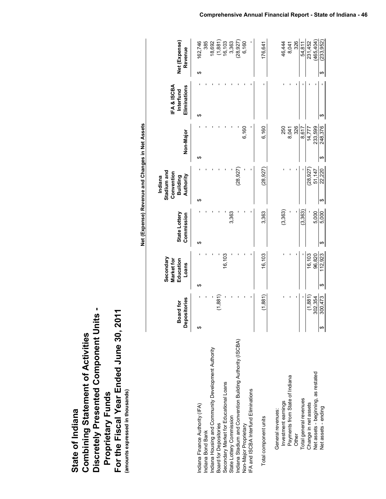| For the Fiscal Year Ended June 30, 2011<br>Discretely Presented Component Units<br><b>Combining Statement of Activities</b><br>(amounts expressed in thousands)<br>Proprietary Funds<br>State of Indiana |
|----------------------------------------------------------------------------------------------------------------------------------------------------------------------------------------------------------|
|----------------------------------------------------------------------------------------------------------------------------------------------------------------------------------------------------------|

|                                                                          |   | Depositories<br>Board for |   | Secondary<br>Education<br>Market for<br>Loans |    | State Lottery<br>Commission |    | Stadium and<br>Convention<br>Authority<br>Building<br>Indiana |   | Non-Major | IFA & ISCBA<br>Eliminations<br>Interfund |                        | Net (Expense)<br>Revenue |
|--------------------------------------------------------------------------|---|---------------------------|---|-----------------------------------------------|----|-----------------------------|----|---------------------------------------------------------------|---|-----------|------------------------------------------|------------------------|--------------------------|
| Indiana Finance Authority (IFA)                                          | ക |                           | ↮ |                                               | မာ |                             | မာ |                                                               | ↮ |           | ↮                                        | ↮                      | 162,746                  |
| Indiana Housing and Community Development Authority<br>Indiana Bond Bank |   |                           |   |                                               |    |                             |    |                                                               |   |           |                                          |                        | 385<br>18,692            |
| <b>Board for Depositories</b>                                            |   | (1,881)                   |   |                                               |    |                             |    |                                                               |   |           |                                          |                        | $(1, 881)$<br>16,103     |
| Secondary Market for Educational Loans                                   |   |                           |   | 16,103                                        |    |                             |    |                                                               |   |           |                                          |                        |                          |
| State Lottery Commission                                                 |   |                           |   |                                               |    | 3,363                       |    |                                                               |   |           |                                          |                        | 3,363                    |
| Indiana Stadium and Convention Building Authority (ISCBA)                |   |                           |   |                                               |    |                             |    | (28, 927)                                                     |   |           |                                          |                        | (28, 927)                |
| Non-Major Proprietary                                                    |   |                           |   |                                               |    |                             |    |                                                               |   | 6,160     |                                          |                        | 6,160                    |
| IFA and ISCBA Interfund Eliminations                                     |   |                           |   |                                               |    |                             |    |                                                               |   |           |                                          |                        |                          |
| Total component units                                                    |   | (1, 881)                  |   | 16,103                                        |    | 3,363                       |    | (28, 927)                                                     |   | 6,160     |                                          |                        | 176,641                  |
| General revenues:                                                        |   |                           |   |                                               |    |                             |    |                                                               |   |           |                                          |                        |                          |
| Investment earnings                                                      |   |                           |   |                                               |    | (3,363)                     |    |                                                               |   | 250       |                                          |                        | 46,444                   |
| Payments from State of Indiana                                           |   |                           |   |                                               |    |                             |    |                                                               |   | 8,041     |                                          |                        | 8,041                    |
| Other                                                                    |   |                           |   |                                               |    |                             |    |                                                               |   | 326       |                                          |                        | 326                      |
| Total general revenues                                                   |   |                           |   |                                               |    | (3,363)                     |    |                                                               |   | 8,617     |                                          |                        | 54,811                   |
| Change in net assets                                                     |   | (1,881)                   |   | 16,103                                        |    |                             |    | (28, 927)                                                     |   | 14,777    |                                          |                        | 231,452                  |
| Net assets - beginning, as restated                                      |   | 302,354                   |   | 96,820                                        |    | 5,000                       |    | 51,147                                                        |   | 233,599   |                                          |                        | (465,404)                |
| Net assets - ending                                                      | ↔ | 300,473                   | ↮ | 112,923                                       | ↮  | 5,000                       | ↮  | 22,220                                                        | ↮ | 248,376   | ↮                                        | $\boldsymbol{\varphi}$ | (233, 952)               |

Net (Expense) Revenue and Changes in Net Assets **Net (Expense) Revenue and Changes in Net Assets**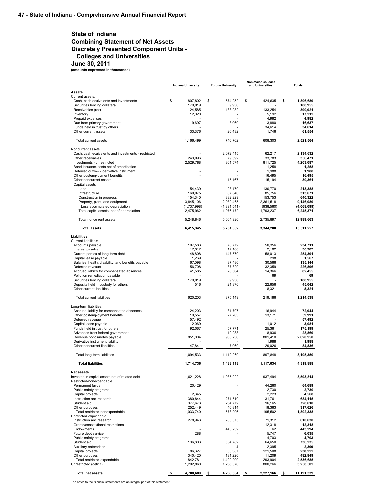#### **State of Indiana Combining Statement of Net Assets Discretely Presented Component Units - Colleges and Universities**

**June 30, 2011**

**(amounts expressed in thousands)**

|                                                                          | <b>Indiana University</b> | <b>Purdue University</b> | <b>Non-Major Colleges</b><br>and Universities | <b>Totals</b>        |
|--------------------------------------------------------------------------|---------------------------|--------------------------|-----------------------------------------------|----------------------|
| <b>Assets</b>                                                            |                           |                          |                                               |                      |
| Current assets:<br>Cash, cash equivalents and investments                | \$<br>807,802             | \$<br>574.252            | \$<br>424,635                                 | \$<br>1,806,689      |
| Securities lending collateral                                            | 179,019                   | 9,936                    |                                               | 188,955              |
| Receivables (net)                                                        | 124,585                   | 133,082                  | 133,254                                       | 390,921              |
| Inventory                                                                | 12,020                    |                          | 5,192                                         | 17,212               |
| Prepaid expenses                                                         |                           |                          | 4,982                                         | 4,982                |
| Due from primary government                                              | 9,697                     | 3,060                    | 3,880                                         | 16,637               |
| Funds held in trust by others<br>Other current assets                    | 33,376                    | 26,432                   | 34,614<br>1,746                               | 34,614<br>61,554     |
| Total current assets                                                     | 1,166,499                 | 746,762                  | 608,303                                       | 2,521,564            |
|                                                                          |                           |                          |                                               |                      |
| Noncurrent assets:                                                       |                           |                          |                                               |                      |
| Cash, cash equivalents and investments - restricted<br>Other receivables | 243,096                   | 2,072,415<br>79,592      | 62,217<br>33,783                              | 2,134,632<br>356.471 |
| Investments - unrestricted                                               | 2,529,788                 | 861,574                  | 811.725                                       | 4,203,087            |
| Bond issuance costs net of amortization                                  |                           |                          | 1,258                                         | 1,258                |
| Deferred outflow - derivative instrument                                 |                           | ÷.                       | 1,988                                         | 1,988                |
| Other postemployment benefits                                            |                           |                          | 16,495                                        | 16,495               |
| Other noncurrent assets                                                  |                           | 15,167                   | 15,194                                        | 30,361               |
| Capital assets:                                                          |                           |                          |                                               |                      |
| Land<br>Infrastructure                                                   | 54,439<br>160,075         | 28,179<br>67,840         | 130,770<br>85,756                             | 213,388<br>313,671   |
| Construction in progress                                                 | 154,340                   | 332,229                  | 153,753                                       | 640,322              |
| Property, plant, and equipment                                           | 3,845,106                 | 2,939,465                | 2,361,518                                     | 9,146,089            |
| Less accumulated depreciation                                            | (1,737,998)               | (1, 391, 541)            | (938, 560)                                    | (4,068,099)          |
| Total capital assets, net of depreciation                                | 2,475,962                 | 1,976,172                | 1,793,237                                     | 6,245,371            |
| Total noncurrent assets                                                  | 5,248,846                 | 5,004,920                | 2,735,897                                     | 12,989,663           |
|                                                                          |                           |                          |                                               |                      |
| <b>Total assets</b>                                                      | 6,415,345                 | 5,751,682                | 3,344,200                                     | 15,511,227           |
| Liabilities<br>Current liabilities:                                      |                           |                          |                                               |                      |
| Accounts payable                                                         | 107,583                   | 76,772                   | 50,356                                        | 234,711              |
| Interest payable                                                         | 17,617                    | 17.188                   | 2,182                                         | 36,987               |
| Current portion of long-term debt                                        | 48,808                    | 147.570                  | 58,013                                        | 254,391              |
| Capital lease payable                                                    | 1,269                     |                          | 298                                           | 1,567                |
| Salaries, health, disability, and benefits payable                       | 67,098                    | 37,480                   | 30,566                                        | 135,144              |
| Deferred revenue                                                         | 156,708                   | 37,829                   | 32,359                                        | 226,896              |
| Accrued liability for compensated absences                               | 41,585                    | 26,504                   | 14,366                                        | 82,455               |
| Pollution remediation payable                                            |                           | 9,936                    | 69                                            | 69                   |
| Securities lending collateral<br>Deposits held in custody for others     | 179,019<br>516            | 21,870                   | 22,656                                        | 188,955<br>45,042    |
| Other current liabilities                                                |                           |                          | 8,321                                         | 8,321                |
| <b>Total current liabilities</b>                                         | 620,203                   | 375,149                  | 219,186                                       | 1,214,538            |
| Long-term liabilities:                                                   |                           |                          |                                               |                      |
| Accrued liability for compensated absences                               | 24,203                    | 31,797                   | 16,944                                        | 72,944               |
| Other postemployment benefits                                            | 19,557                    | 27,263                   | 13,171                                        | 59,991               |
| Deferred revenue                                                         | 57,492                    |                          |                                               | 57,492               |
| Capital lease payable                                                    | 2,069                     |                          | 1,012                                         | 3,081                |
| Funds held in trust for others                                           | 92,067                    | 57,771                   | 25.361                                        | 175.199              |
| Advances from federal government<br>Revenue bonds/notes payable          | 851,304                   | 19,933<br>968,236        | 8,936<br>801,410                              | 28,869<br>2,620,950  |
| Derivative instrument liability                                          |                           |                          | 1,988                                         | 1,988                |
| Other noncurrent liabilities                                             | 47,841                    | 7,969                    | 29,026                                        | 84,836               |
| Total long-term liabilities                                              | 1,094,533                 | 1,112,969                | 897,848                                       | 3,105,350            |
| Total liabilities                                                        | 1,714,736                 | 1,488,118                | 1,117,034                                     | 4,319,888            |
|                                                                          |                           |                          |                                               |                      |
| <b>Net assets</b><br>Invested in capital assets net of related debt      | 1,621,228                 | 1,035,092                | 937,494                                       | 3,593,814            |
| Restricted-nonexpendable                                                 |                           |                          |                                               |                      |
| Permanent funds                                                          | 20,429                    |                          | 44,260                                        | 64,689               |
| Public safety programs                                                   |                           |                          | 2,730                                         | 2,730                |
| Capital projects                                                         | 2,345                     |                          | 2,223                                         | 4,568                |
| Instruction and research                                                 | 380,844                   | 271,510                  | 31.761                                        | 684,115              |
| Student aid                                                              | 377,673                   | 254,772                  | 96,165                                        | 728,610              |
| Other purposes<br>Total restricted-nonexpendable                         | 252,449                   | 46,814<br>573,096        | 18,363                                        | 317,626<br>1,802,338 |
| Restricted-expendable                                                    | 1,033,740                 |                          | 195,502                                       |                      |
| Instruction and research                                                 | 278,943                   | 260,375                  | 71,312                                        | 610,630              |
| Grants/constitutional restrictions                                       |                           |                          | 12,318                                        | 12,318               |
| Endowments                                                               |                           | 443,232                  | 62                                            | 443,294              |
| Future debt service                                                      | 288                       |                          | 5,747                                         | 6,035                |
| Public safety programs<br>Student aid                                    | 136,803                   | 534,782                  | 4,703                                         | 4,703<br>736,235     |
| Auxiliary enterprises                                                    |                           | 4                        | 64,650<br>2,395                               | 2,399                |
| Capital projects                                                         | 86,327                    | 30,387                   | 121,508                                       | 238,222              |
| Other purposes                                                           | 340,420                   | 131,220                  | 11,209                                        | 482,849              |
| Total restricted-expendable                                              | 842,781                   | 1,400,000                | 293,904                                       | 2,536,685            |
| Unrestricted (deficit)                                                   | 1,202,860                 | 1,255,376                | 800,266                                       | 3,258,502            |
| <b>Total net assets</b>                                                  | \$<br>4,700,609           | \$<br>4,263,564          | \$<br>2,227,166                               | \$<br>11,191,339     |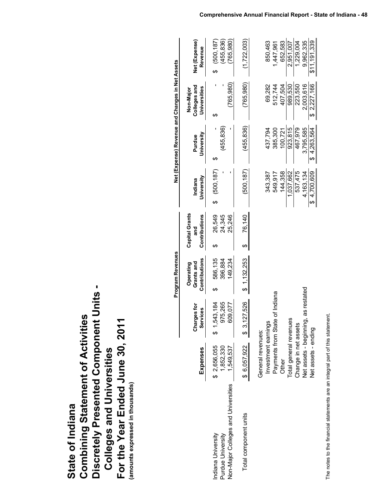Discretely Presented Component Units -**Discretely Presented Component Units - Combining Statement of Activities Combining Statement of Activities** For the Year Ended June 30, 2011 **For the Year Ended June 30, 2011** Colleges and Universities  **Colleges and Universities** (amounts expressed in thousands) **(amounts expressed in thousands)** State of Indiana **State of Indiana**

|                                                                                |                                          |                                        | Program Revenues                         |                                        |                       |                      | Net (Expense) Revenue and Changes in Net Assets |                                        |
|--------------------------------------------------------------------------------|------------------------------------------|----------------------------------------|------------------------------------------|----------------------------------------|-----------------------|----------------------|-------------------------------------------------|----------------------------------------|
|                                                                                | Expenses                                 | Charges for<br>Services                | Contributions<br>Grants and<br>Operating | Capital Grants<br>Contributions<br>and | University<br>Indiana | University<br>Purdue | Colleges and<br>Universities<br>Non-Major       | Net (Expense)<br>Revenue               |
| Non-Major Colleges and Universities<br>Purdue University<br>Indiana University | \$2,656,055<br>1,852,330<br>1,549,537    | \$1,543,184<br>975,265<br>09.077<br>ටි | 586,135<br>396,884<br>149,234<br>ക       | 26,549<br>25,246<br>24,345<br>ഗ        | $$^{(500,187)}$       | 455,836)<br>ക        | 765.980)                                        | 455,836)<br>765,980)<br>(500,187)<br>ക |
| Total component units                                                          | \$6,057,922                              | \$3,127,526                            | \$1,132.253                              | 76,140<br>ക                            | (500, 187)            | (455, 836)           | (765, 980)                                      | (1.722.003)                            |
|                                                                                | Investment earnings<br>General revenues: |                                        |                                          |                                        | 343,387               | 437,794              | 69,282                                          | 850,463                                |
|                                                                                | Payments from State                      | of Indiana                             |                                          |                                        | 549,917               | 385,300              | 512,744                                         | 1,447,961                              |
|                                                                                | Other                                    |                                        |                                          |                                        | 144.358               | 100.721              | 407.504                                         | 652.583                                |
|                                                                                | Total general revenues                   |                                        |                                          |                                        | 1,037,662             | 923,815              | 989,530                                         | 2.951.007                              |
|                                                                                | Change in net assets                     |                                        |                                          |                                        | 537,475               | 467,979              | 223,550                                         | 1,229,004                              |
|                                                                                | Net assets - beginning,                  | as restated                            |                                          |                                        | 4,163,134             | 3,795,585            | 2,003,616                                       | 9.962.335                              |
|                                                                                | Net assets - ending                      |                                        |                                          |                                        | \$4,700,609           | \$4,263,564          | \$2227,166                                      | \$11.191.339                           |
|                                                                                |                                          |                                        |                                          |                                        |                       |                      |                                                 |                                        |